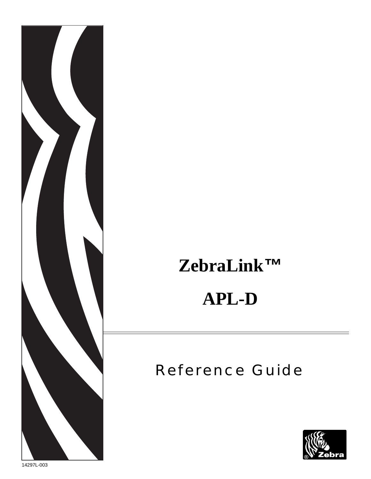

# **ZebraLink***™*

# **APL-D**

# Reference Guide



14297L-003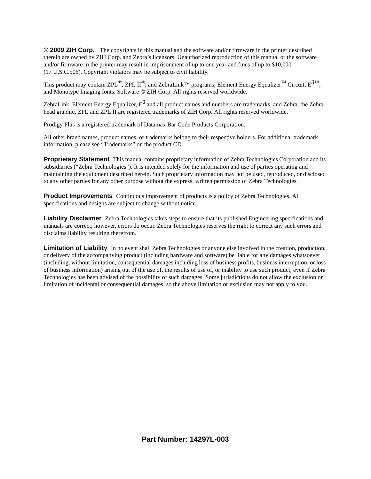**© 2009 ZIH Corp.** The copyrights in this manual and the software and/or firmware in the printer described therein are owned by ZIH Corp. and Zebra's licensors. Unauthorized reproduction of this manual or the software and/or firmware in the printer may result in imprisonment of up to one year and fines of up to \$10,000 (17 U.S.C.506). Copyright violators may be subject to civil liability.

This product may contain ZPL*®*, ZPL II*®*, and ZebraLink™ programs; Element Energy Equalizer*™* Circuit; E*3™*; and Monotype Imaging fonts. Software © ZIH Corp. All rights reserved worldwide.

ZebraLink, Element Energy Equalizer, E*3* and all product names and numbers are trademarks, and Zebra, the Zebra head graphic, ZPL and ZPL II are registered trademarks of ZIH Corp. All rights reserved worldwide.

Prodigy Plus is a registered trademark of Datamax Bar Code Products Corporation.

All other brand names, product names, or trademarks belong to their respective holders. For additional trademark information, please see "Trademarks" on the product CD.

**Proprietary Statement** This manual contains proprietary information of Zebra Technologies Corporation and its subsidiaries ("Zebra Technologies"). It is intended solely for the information and use of parties operating and maintaining the equipment described herein. Such proprietary information may not be used, reproduced, or disclosed to any other parties for any other purpose without the express, written permission of Zebra Technologies.

**Product Improvements** Continuous improvement of products is a policy of Zebra Technologies. All specifications and designs are subject to change without notice.

**Liability Disclaimer** Zebra Technologies takes steps to ensure that its published Engineering specifications and manuals are correct; however, errors do occur. Zebra Technologies reserves the right to correct any such errors and disclaims liability resulting therefrom.

**Limitation of Liability** In no event shall Zebra Technologies or anyone else involved in the creation, production, or delivery of the accompanying product (including hardware and software) be liable for any damages whatsoever (including, without limitation, consequential damages including loss of business profits, business interruption, or loss of business information) arising out of the use of, the results of use of, or inability to use such product, even if Zebra Technologies has been advised of the possibility of such damages. Some jurisdictions do not allow the exclusion or limitation of incidental or consequential damages, so the above limitation or exclusion may not apply to you.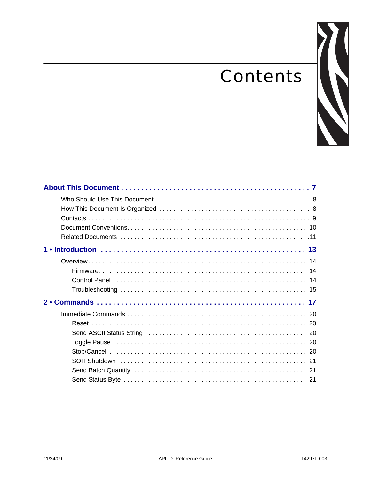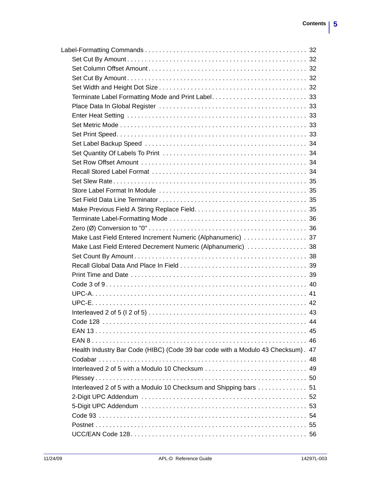| Make Last Field Entered Decrement Numeric (Alphanumeric)  38                     |  |
|----------------------------------------------------------------------------------|--|
|                                                                                  |  |
|                                                                                  |  |
|                                                                                  |  |
|                                                                                  |  |
|                                                                                  |  |
|                                                                                  |  |
|                                                                                  |  |
|                                                                                  |  |
|                                                                                  |  |
|                                                                                  |  |
| Health Industry Bar Code (HIBC) (Code 39 bar code with a Modulo 43 Checksum). 47 |  |
|                                                                                  |  |
|                                                                                  |  |
|                                                                                  |  |
| Interleaved 2 of 5 with a Modulo 10 Checksum and Shipping bars 51                |  |
|                                                                                  |  |
|                                                                                  |  |
|                                                                                  |  |
|                                                                                  |  |
|                                                                                  |  |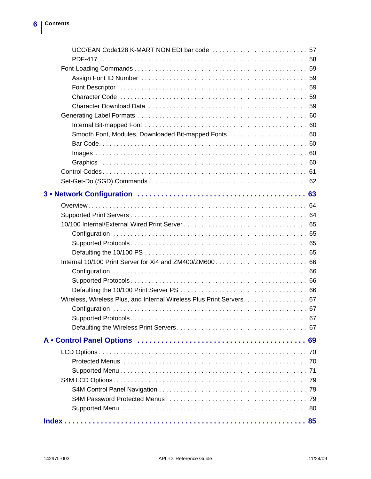| Smooth Font, Modules, Downloaded Bit-mapped Fonts  60                |  |
|----------------------------------------------------------------------|--|
|                                                                      |  |
|                                                                      |  |
|                                                                      |  |
|                                                                      |  |
|                                                                      |  |
|                                                                      |  |
|                                                                      |  |
|                                                                      |  |
|                                                                      |  |
|                                                                      |  |
|                                                                      |  |
|                                                                      |  |
|                                                                      |  |
|                                                                      |  |
|                                                                      |  |
|                                                                      |  |
| Wireless, Wireless Plus, and Internal Wireless Plus Print Servers 67 |  |
|                                                                      |  |
|                                                                      |  |
|                                                                      |  |
|                                                                      |  |
|                                                                      |  |
|                                                                      |  |
|                                                                      |  |
|                                                                      |  |
|                                                                      |  |
|                                                                      |  |
|                                                                      |  |
|                                                                      |  |
|                                                                      |  |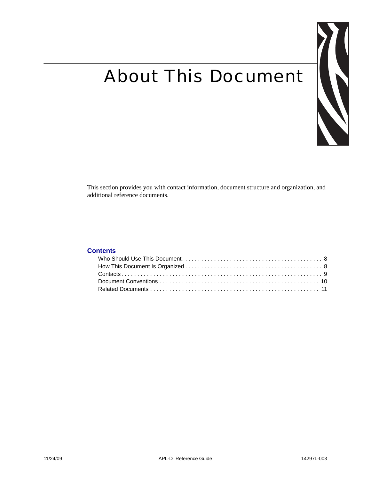# <span id="page-6-0"></span>About This Document



This section provides you with contact information, document structure and organization, and additional reference documents.

#### **Contents**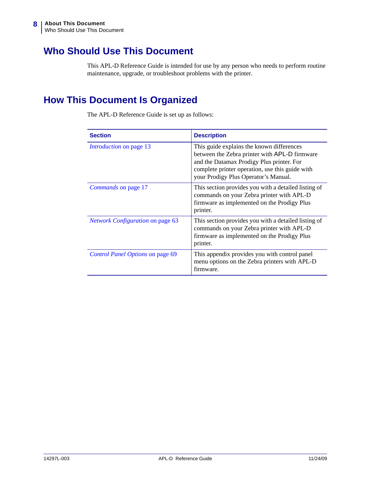# <span id="page-7-0"></span>**Who Should Use This Document**

This APL-D Reference Guide is intended for use by any person who needs to perform routine maintenance, upgrade, or troubleshoot problems with the printer.

# <span id="page-7-1"></span>**How This Document Is Organized**

The APL-D Reference Guide is set up as follows:

| <b>Section</b>                          | <b>Description</b>                                                                                                                                                                                                                 |
|-----------------------------------------|------------------------------------------------------------------------------------------------------------------------------------------------------------------------------------------------------------------------------------|
| <i>Introduction</i> on page 13          | This guide explains the known differences<br>between the Zebra printer with APL-D firmware<br>and the Datamax Prodigy Plus printer. For<br>complete printer operation, use this guide with<br>your Prodigy Plus Operator's Manual. |
| Commands on page 17                     | This section provides you with a detailed listing of<br>commands on your Zebra printer with APL-D<br>firmware as implemented on the Prodigy Plus<br>printer.                                                                       |
| <b>Network Configuration on page 63</b> | This section provides you with a detailed listing of<br>commands on your Zebra printer with APL-D<br>firmware as implemented on the Prodigy Plus<br>printer.                                                                       |
| Control Panel Options on page 69        | This appendix provides you with control panel<br>menu options on the Zebra printers with APL-D<br>firmware.                                                                                                                        |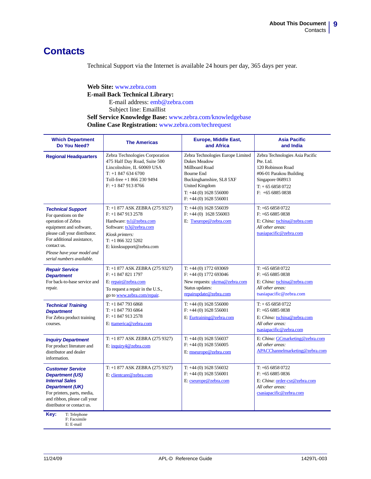### <span id="page-8-1"></span><span id="page-8-0"></span>**Contacts**

Technical Support via the Internet is available 24 hours per day, 365 days per year.

#### **Web Site:** www.zebra.com **E-mail Back Technical Library:** E-mail address: [emb@zebra.com](mailto:emb@zebra.com) Subject line: Emaillist **Self Service Knowledge Base:** [www.zebra.com/knowledgebase](http://www.zebra.com/knowledgebase) **Online Case Registration:** [www.zebra.com/techrequest](http://www.zebra.com/techrequest)

| <b>Which Department</b><br>Do You Need?                                                                                                                                                                                                    | <b>The Americas</b>                                                                                                                                                            | Europe, Middle East,<br>and Africa                                                                                                                                                                  | <b>Asia Pacific</b><br>and India                                                                                                                         |
|--------------------------------------------------------------------------------------------------------------------------------------------------------------------------------------------------------------------------------------------|--------------------------------------------------------------------------------------------------------------------------------------------------------------------------------|-----------------------------------------------------------------------------------------------------------------------------------------------------------------------------------------------------|----------------------------------------------------------------------------------------------------------------------------------------------------------|
| <b>Regional Headquarters</b>                                                                                                                                                                                                               | Zebra Technologies Corporation<br>475 Half Day Road, Suite 500<br>Lincolnshire, IL 60069 USA<br>$T: +18476346700$<br>Toll-free $+18662309494$<br>$F: +18479138766$             | Zebra Technologies Europe Limited<br>Dukes Meadow<br>Millboard Road<br><b>Bourne End</b><br>Buckinghamshire, SL8 5XF<br><b>United Kingdom</b><br>$T: +44(0)$ 1628 556000<br>$F: +44(0)$ 1628 556001 | Zebra Technologies Asia Pacific<br>Pte. Ltd.<br>120 Robinson Road<br>#06-01 Parakou Building<br>Singapore 068913<br>$T: +6568580722$<br>$F: +6568850838$ |
| <b>Technical Support</b><br>For questions on the<br>operation of Zebra<br>equipment and software,<br>please call your distributor.<br>For additional assistance,<br>contact us.<br>Please have your model and<br>serial numbers available. | T: +1 877 ASK ZEBRA (275 9327)<br>$F: +18479132578$<br>Hardware: ts1@zebra.com<br>Software: ts3@zebra.com<br>Kiosk printers:<br>$T: +18663225202$<br>E: kiosksupport@zebra.com | $T: +44(0)$ 1628 556039<br>$F: +44(0)$ 1628 556003<br>E: Tseurope@zebra.com                                                                                                                         | $T: +6568580722$<br>$F: +6568850838$<br>E: China: tschina@zebra.com<br>All other areas:<br>tsasiapacific@zebra.com                                       |
| <b>Repair Service</b><br><b>Department</b><br>For back-to-base service and<br>repair.                                                                                                                                                      | T: +1 877 ASK ZEBRA (275 9327)<br>$F: +18478211797$<br>E: repair@zebra.com<br>To request a repair in the U.S.,<br>go to www.zebra.com/repair.                                  | $T: +44(0)$ 1772 693069<br>$F: +44(0)$ 1772 693046<br>New requests: ukrma@zebra.com<br>Status updates:<br>repairupdate@zebra.com                                                                    | $T: +6568580722$<br>$F: +6568850838$<br>E: China: tschina@zebra.com<br>All other areas:<br>tsasiapacific@zebra.com                                       |
| <b>Technical Training</b><br><b>Department</b><br>For Zebra product training<br>courses.                                                                                                                                                   | $T: +18477936868$<br>$T: +18477936864$<br>$F: +18479132578$<br>E: ttamerica@zebra.com                                                                                          | $T: +44(0)$ 1628 556000<br>$F: +44(0)$ 1628 556001<br>E: Eurtraining@zebra.com                                                                                                                      | $T: +6568580722$<br>$F: +6568850838$<br>E: China: tschina@zebra.com<br>All other areas:<br>tsasiapacific@zebra.com                                       |
| <b>Inquiry Department</b><br>For product literature and<br>distributor and dealer<br>information.                                                                                                                                          | T: +1 877 ASK ZEBRA (275 9327)<br>E: inquiry4@zebra.com                                                                                                                        | $T: +44(0)$ 1628 556037<br>$F: +44(0)$ 1628 556005<br>E: mseurope@zebra.com                                                                                                                         | E: China: GCmarketing@zebra.com<br>All other areas:<br>APACChannelmarketing@zebra.com                                                                    |
| <b>Customer Service</b><br><b>Department (US)</b><br><b>Internal Sales</b><br><b>Department (UK)</b><br>For printers, parts, media,<br>and ribbon, please call your<br>distributor or contact us.<br>Key:<br>T: Telephone                  | T: +1 877 ASK ZEBRA (275 9327)<br>E: clientcare@zebra.com                                                                                                                      | $T: +44(0)$ 1628 556032<br>$F: +44(0)$ 1628 556001<br>E: cseurope@zebra.com                                                                                                                         | $T: +6568580722$<br>$F: +6568850836$<br>E: China: order-csr@zebra.com<br>All other areas:<br>csasiapacific@zebra.com                                     |
| F: Facsimile<br>E: E-mail                                                                                                                                                                                                                  |                                                                                                                                                                                |                                                                                                                                                                                                     |                                                                                                                                                          |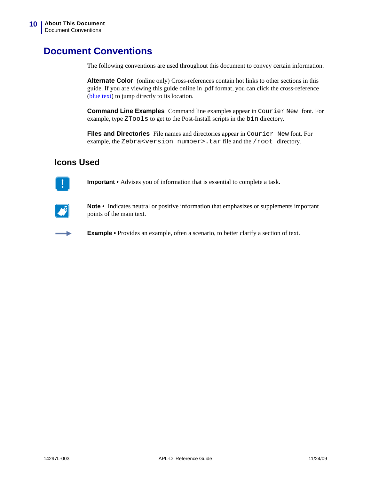## <span id="page-9-1"></span><span id="page-9-0"></span>**Document Conventions**

The following conventions are used throughout this document to convey certain information.

**Alternate Color** (online only) Cross-references contain hot links to other sections in this guide. If you are viewing this guide online in .pdf format, you can click the cross-reference (blue text) to jump directly to its location.

**Command Line Examples** Command line examples appear in Courier New font. For example, type ZTools to get to the Post-Install scripts in the bin directory.

**Files and Directories** File names and directories appear in Courier New font. For example, the Zebra<version number>.tar file and the /root directory.

#### **Icons Used**



**Important •** Advises you of information that is essential to complete a task.



**Note •** Indicates neutral or positive information that emphasizes or supplements important points of the main text.

**Example •** Provides an example, often a scenario, to better clarify a section of text.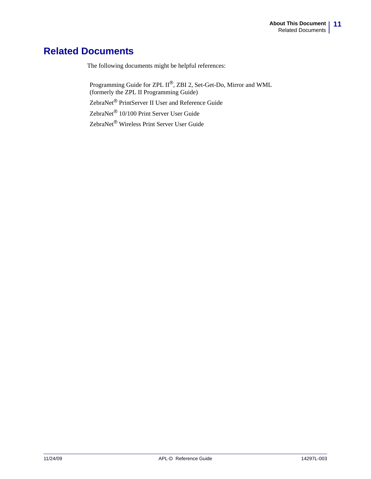### <span id="page-10-1"></span><span id="page-10-0"></span>**Related Documents**

The following documents might be helpful references:

Programming Guide for ZPL II*®*, ZBI 2, Set-Get-Do, Mirror and WML (formerly the ZPL II Programming Guide)

ZebraNet*®* PrintServer II User and Reference Guide

ZebraNet*®* 10/100 Print Server User Guide

ZebraNet*®* Wireless Print Server User Guide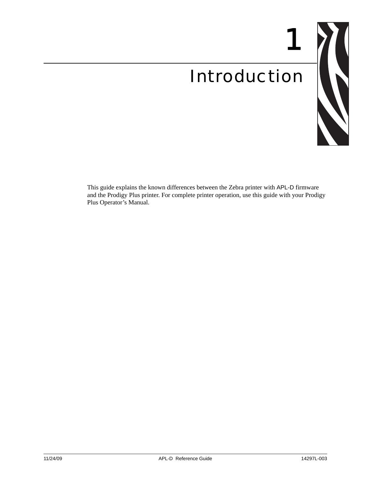# <span id="page-12-1"></span>Introduction



1

<span id="page-12-0"></span>This guide explains the known differences between the Zebra printer with APL-D firmware and the Prodigy Plus printer. For complete printer operation, use this guide with your Prodigy Plus Operator's Manual.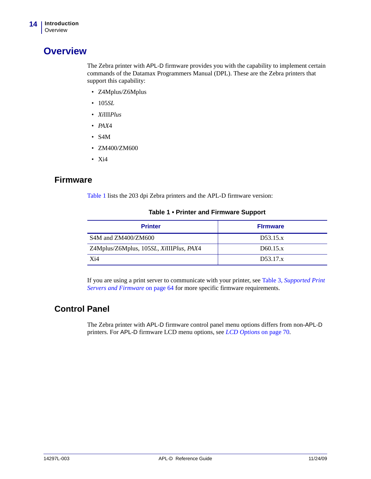### <span id="page-13-0"></span>**Overview**

The Zebra printer with APL-D firmware provides you with the capability to implement certain commands of the Datamax Programmers Manual (DPL). These are the Zebra printers that support this capability:

- Z4Mplus/Z6Mplus
- 105*SL*
- *Xi*III*Plus*
- *PAX*4
- S4M
- ZM400/ZM600
- Xi4

#### <span id="page-13-1"></span>**Firmware**

[Table 1](#page-13-3) lists the 203 dpi Zebra printers and the APL-D firmware version:

<span id="page-13-3"></span>

| <b>Printer</b>                          | <b>Firmware</b> |
|-----------------------------------------|-----------------|
| S4M and ZM400/ZM600                     | D53.15.x        |
| Z4Mplus/Z6Mplus, 105SL, XiIIIPlus, PAX4 | D60.15.x        |
| X <sub>i</sub> 4                        | D53.17.x        |

#### **Table 1 • Printer and Firmware Support**

If you are using a print server to communicate with your printer, see Table 3, *[Supported Print](#page-63-2)  [Servers and Firmware](#page-63-2)* on page 64 for more specific firmware requirements.

#### <span id="page-13-2"></span>**Control Panel**

The Zebra printer with APL-D firmware control panel menu options differs from non-APL-D printers. For APL-D firmware LCD menu options, see *[LCD Options](#page-69-2)* on page 70.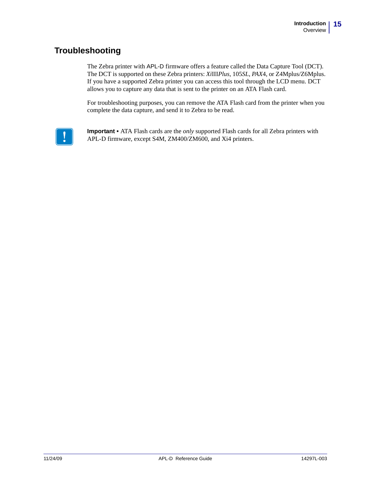### <span id="page-14-0"></span>**Troubleshooting**

The Zebra printer with APL-D firmware offers a feature called the Data Capture Tool (DCT). The DCT is supported on these Zebra printers: *Xi*III*Plus*, 105*SL*, *PAX*4, or Z4Mplus/Z6Mplus. If you have a supported Zebra printer you can access this tool through the LCD menu. DCT allows you to capture any data that is sent to the printer on an ATA Flash card.

For troubleshooting purposes, you can remove the ATA Flash card from the printer when you complete the data capture, and send it to Zebra to be read.



**Important •** ATA Flash cards are the *only* supported Flash cards for all Zebra printers with APL-D firmware, except S4M, ZM400/ZM600, and Xi4 printers.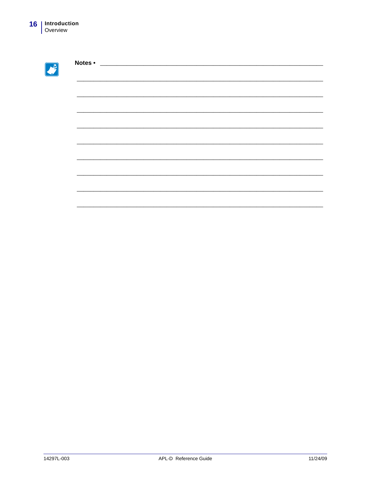C

| <u> 1980 - Andrea Andrew Maria (h. 1980).</u> |  |  |
|-----------------------------------------------|--|--|
|                                               |  |  |
|                                               |  |  |
|                                               |  |  |
|                                               |  |  |
|                                               |  |  |
|                                               |  |  |
|                                               |  |  |
|                                               |  |  |
|                                               |  |  |
|                                               |  |  |
|                                               |  |  |
|                                               |  |  |
|                                               |  |  |
|                                               |  |  |
|                                               |  |  |
|                                               |  |  |
|                                               |  |  |
|                                               |  |  |
|                                               |  |  |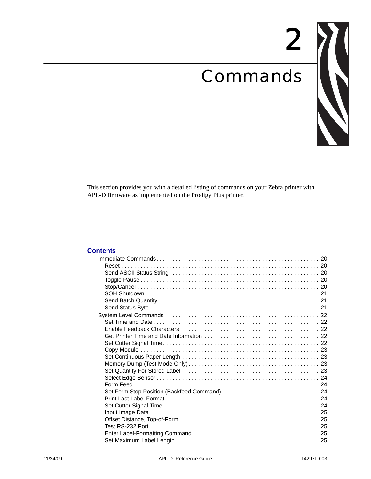# <span id="page-16-1"></span>Commands



2

<span id="page-16-2"></span><span id="page-16-0"></span>This section provides you with a detailed listing of commands on your Zebra printer with APL-D firmware as implemented on the Prodigy Plus printer.

#### **Contents**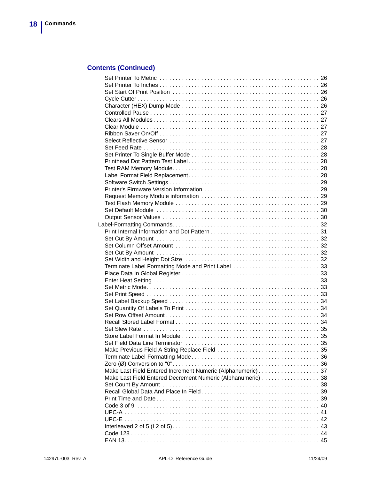### **Contents (Continued)**

| Make Last Field Entered Increment Numeric (Alphanumeric) 37  |    |
|--------------------------------------------------------------|----|
|                                                              |    |
| Make Last Field Entered Decrement Numeric (Alphanumeric)  38 |    |
|                                                              |    |
|                                                              |    |
|                                                              |    |
|                                                              |    |
|                                                              | 40 |
|                                                              | 41 |
|                                                              | 42 |
|                                                              |    |
|                                                              |    |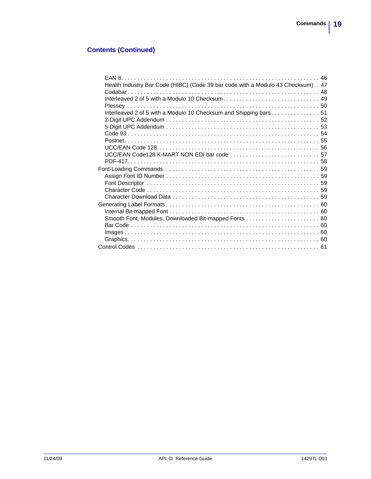#### **Contents (Continued)**

| Health Industry Bar Code (HIBC) (Code 39 bar code with a Modulo 43 Checksum) . 47 |  |
|-----------------------------------------------------------------------------------|--|
|                                                                                   |  |
|                                                                                   |  |
| Interleaved 2 of 5 with a Modulo 10 Checksum and Shipping bars 51                 |  |
|                                                                                   |  |
|                                                                                   |  |
|                                                                                   |  |
|                                                                                   |  |
|                                                                                   |  |
|                                                                                   |  |
|                                                                                   |  |
|                                                                                   |  |
|                                                                                   |  |
|                                                                                   |  |
|                                                                                   |  |
|                                                                                   |  |
|                                                                                   |  |
|                                                                                   |  |
|                                                                                   |  |
|                                                                                   |  |
|                                                                                   |  |
|                                                                                   |  |
|                                                                                   |  |
|                                                                                   |  |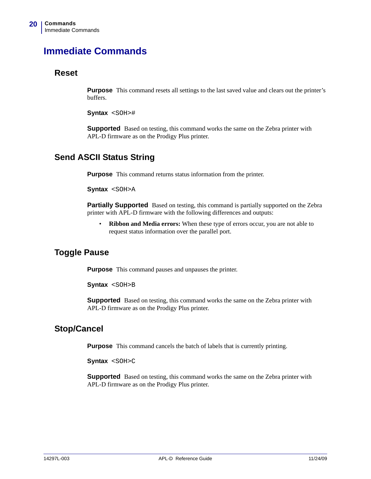## <span id="page-19-0"></span>**Immediate Commands**

#### <span id="page-19-1"></span>**Reset**

**Purpose** This command resets all settings to the last saved value and clears out the printer's buffers.

**Syntax** <SOH>#

**Supported** Based on testing, this command works the same on the Zebra printer with APL-D firmware as on the Prodigy Plus printer.

#### <span id="page-19-2"></span>**Send ASCII Status String**

**Purpose** This command returns status information from the printer.

```
Syntax <SOH>A
```
**Partially Supported** Based on testing, this command is partially supported on the Zebra printer with APL-D firmware with the following differences and outputs:

• **Ribbon and Media errors:** When these type of errors occur, you are not able to request status information over the parallel port.

#### <span id="page-19-3"></span>**Toggle Pause**

**Purpose** This command pauses and unpauses the printer.

**Syntax** <SOH>B

**Supported** Based on testing, this command works the same on the Zebra printer with APL-D firmware as on the Prodigy Plus printer.

#### <span id="page-19-4"></span>**Stop/Cancel**

**Purpose** This command cancels the batch of labels that is currently printing.

**Syntax** <SOH>C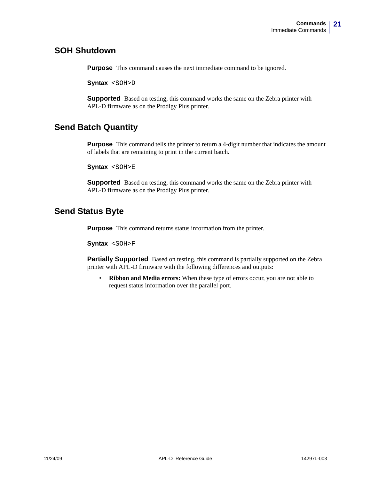#### <span id="page-20-0"></span>**SOH Shutdown**

**Purpose** This command causes the next immediate command to be ignored.

**Syntax** <SOH>D

**Supported** Based on testing, this command works the same on the Zebra printer with APL-D firmware as on the Prodigy Plus printer.

#### <span id="page-20-1"></span>**Send Batch Quantity**

**Purpose** This command tells the printer to return a 4-digit number that indicates the amount of labels that are remaining to print in the current batch.

**Syntax** <SOH>E

**Supported** Based on testing, this command works the same on the Zebra printer with APL-D firmware as on the Prodigy Plus printer.

#### <span id="page-20-2"></span>**Send Status Byte**

**Purpose** This command returns status information from the printer.

**Syntax** <SOH>F

**Partially Supported** Based on testing, this command is partially supported on the Zebra printer with APL-D firmware with the following differences and outputs:

• **Ribbon and Media errors:** When these type of errors occur, you are not able to request status information over the parallel port.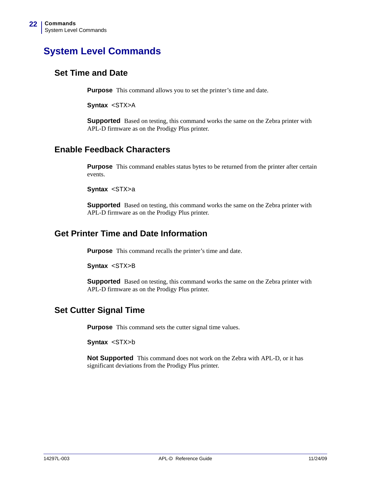# <span id="page-21-0"></span>**System Level Commands**

#### <span id="page-21-1"></span>**Set Time and Date**

**Purpose** This command allows you to set the printer's time and date.

**Syntax** <STX>A

**Supported** Based on testing, this command works the same on the Zebra printer with APL-D firmware as on the Prodigy Plus printer.

#### <span id="page-21-2"></span>**Enable Feedback Characters**

**Purpose** This command enables status bytes to be returned from the printer after certain events.

**Syntax** <STX>a

**Supported** Based on testing, this command works the same on the Zebra printer with APL-D firmware as on the Prodigy Plus printer.

#### <span id="page-21-3"></span>**Get Printer Time and Date Information**

**Purpose** This command recalls the printer's time and date.

**Syntax** <STX>B

**Supported** Based on testing, this command works the same on the Zebra printer with APL-D firmware as on the Prodigy Plus printer.

#### <span id="page-21-4"></span>**Set Cutter Signal Time**

**Purpose** This command sets the cutter signal time values.

**Syntax** <STX>b

**Not Supported** This command does not work on the Zebra with APL-D, or it has significant deviations from the Prodigy Plus printer.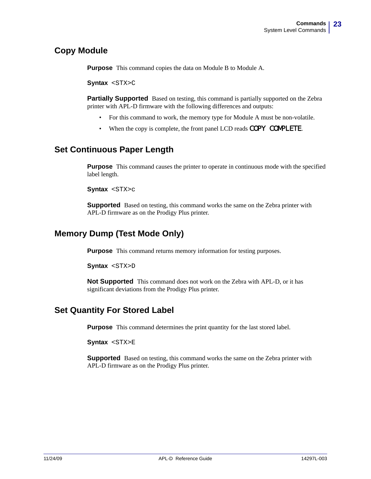#### <span id="page-22-0"></span>**Copy Module**

**Purpose** This command copies the data on Module B to Module A.

**Syntax** <STX>C

**Partially Supported** Based on testing, this command is partially supported on the Zebra printer with APL-D firmware with the following differences and outputs:

- For this command to work, the memory type for Module A must be non-volatile.
- When the copy is complete, the front panel LCD reads COPY COMPLETE.

#### <span id="page-22-1"></span>**Set Continuous Paper Length**

**Purpose** This command causes the printer to operate in continuous mode with the specified label length.

**Syntax** <STX>c

**Supported** Based on testing, this command works the same on the Zebra printer with APL-D firmware as on the Prodigy Plus printer.

#### <span id="page-22-2"></span>**Memory Dump (Test Mode Only)**

**Purpose** This command returns memory information for testing purposes.

**Syntax** <STX>D

**Not Supported** This command does not work on the Zebra with APL-D, or it has significant deviations from the Prodigy Plus printer.

#### <span id="page-22-3"></span>**Set Quantity For Stored Label**

**Purpose** This command determines the print quantity for the last stored label.

**Syntax** <STX>E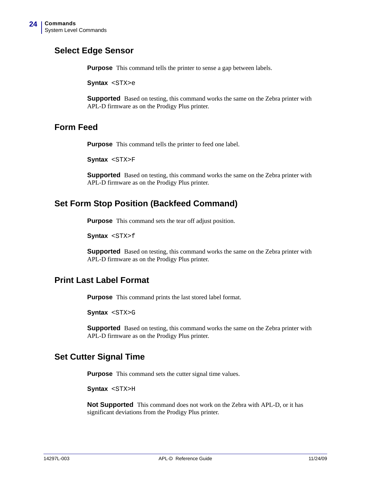#### <span id="page-23-0"></span>**Select Edge Sensor**

**Purpose** This command tells the printer to sense a gap between labels.

**Syntax** <STX>e

**Supported** Based on testing, this command works the same on the Zebra printer with APL-D firmware as on the Prodigy Plus printer.

#### <span id="page-23-1"></span>**Form Feed**

**Purpose** This command tells the printer to feed one label.

**Syntax** <STX>F

**Supported** Based on testing, this command works the same on the Zebra printer with APL-D firmware as on the Prodigy Plus printer.

#### <span id="page-23-2"></span>**Set Form Stop Position (Backfeed Command)**

**Purpose** This command sets the tear off adjust position.

**Syntax** <STX>f

**Supported** Based on testing, this command works the same on the Zebra printer with APL-D firmware as on the Prodigy Plus printer.

#### <span id="page-23-3"></span>**Print Last Label Format**

**Purpose** This command prints the last stored label format.

**Syntax** <STX>G

**Supported** Based on testing, this command works the same on the Zebra printer with APL-D firmware as on the Prodigy Plus printer.

#### <span id="page-23-4"></span>**Set Cutter Signal Time**

**Purpose** This command sets the cutter signal time values.

**Syntax** <STX>H

**Not Supported** This command does not work on the Zebra with APL-D, or it has significant deviations from the Prodigy Plus printer.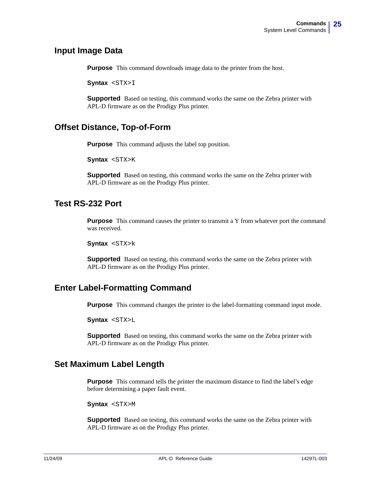#### <span id="page-24-0"></span>**Input Image Data**

**Purpose** This command downloads image data to the printer from the host.

**Syntax** <STX>I

**Supported** Based on testing, this command works the same on the Zebra printer with APL-D firmware as on the Prodigy Plus printer.

#### <span id="page-24-1"></span>**Offset Distance, Top-of-Form**

**Purpose** This command adjusts the label top position.

**Syntax** <STX>K

**Supported** Based on testing, this command works the same on the Zebra printer with APL-D firmware as on the Prodigy Plus printer.

#### <span id="page-24-2"></span>**Test RS-232 Port**

**Purpose** This command causes the printer to transmit a Y from whatever port the command was received.

**Syntax** <STX>k

**Supported** Based on testing, this command works the same on the Zebra printer with APL-D firmware as on the Prodigy Plus printer.

#### <span id="page-24-3"></span>**Enter Label-Formatting Command**

**Purpose** This command changes the printer to the label-formatting command input mode.

**Syntax** <STX>L

**Supported** Based on testing, this command works the same on the Zebra printer with APL-D firmware as on the Prodigy Plus printer.

#### <span id="page-24-4"></span>**Set Maximum Label Length**

**Purpose** This command tells the printer the maximum distance to find the label's edge before determining a paper fault event.

**Syntax** <STX>M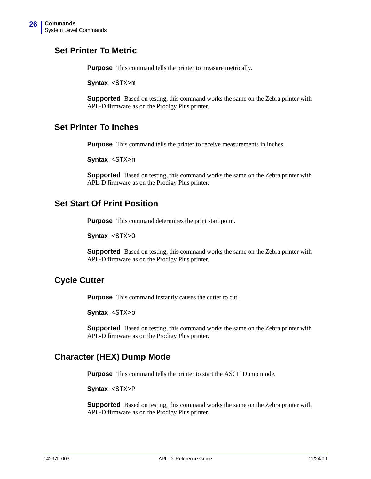#### <span id="page-25-0"></span>**Set Printer To Metric**

**Purpose** This command tells the printer to measure metrically.

**Syntax** <STX>m

**Supported** Based on testing, this command works the same on the Zebra printer with APL-D firmware as on the Prodigy Plus printer.

#### <span id="page-25-1"></span>**Set Printer To Inches**

**Purpose** This command tells the printer to receive measurements in inches.

**Syntax** <STX>n

**Supported** Based on testing, this command works the same on the Zebra printer with APL-D firmware as on the Prodigy Plus printer.

#### <span id="page-25-2"></span>**Set Start Of Print Position**

**Purpose** This command determines the print start point.

**Syntax** <STX>O

**Supported** Based on testing, this command works the same on the Zebra printer with APL-D firmware as on the Prodigy Plus printer.

#### <span id="page-25-3"></span>**Cycle Cutter**

**Purpose** This command instantly causes the cutter to cut.

**Syntax** <STX>o

**Supported** Based on testing, this command works the same on the Zebra printer with APL-D firmware as on the Prodigy Plus printer.

#### <span id="page-25-4"></span>**Character (HEX) Dump Mode**

**Purpose** This command tells the printer to start the ASCII Dump mode.

**Syntax** <STX>P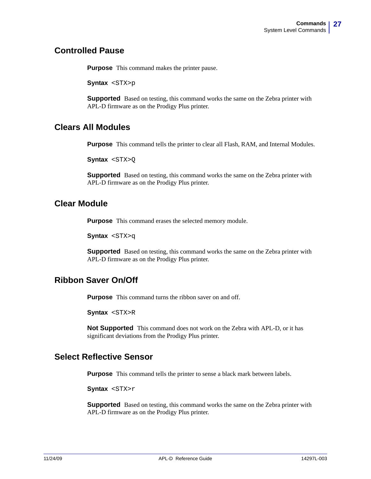#### <span id="page-26-0"></span>**Controlled Pause**

**Purpose** This command makes the printer pause.

**Syntax** <STX>p

**Supported** Based on testing, this command works the same on the Zebra printer with APL-D firmware as on the Prodigy Plus printer.

#### <span id="page-26-1"></span>**Clears All Modules**

**Purpose** This command tells the printer to clear all Flash, RAM, and Internal Modules.

**Syntax** <STX>Q

**Supported** Based on testing, this command works the same on the Zebra printer with APL-D firmware as on the Prodigy Plus printer.

#### <span id="page-26-2"></span>**Clear Module**

**Purpose** This command erases the selected memory module.

**Syntax** <STX>q

**Supported** Based on testing, this command works the same on the Zebra printer with APL-D firmware as on the Prodigy Plus printer.

#### <span id="page-26-3"></span>**Ribbon Saver On/Off**

**Purpose** This command turns the ribbon saver on and off.

**Syntax** <STX>R

**Not Supported** This command does not work on the Zebra with APL-D, or it has significant deviations from the Prodigy Plus printer.

#### <span id="page-26-4"></span>**Select Reflective Sensor**

**Purpose** This command tells the printer to sense a black mark between labels.

**Syntax** <STX>r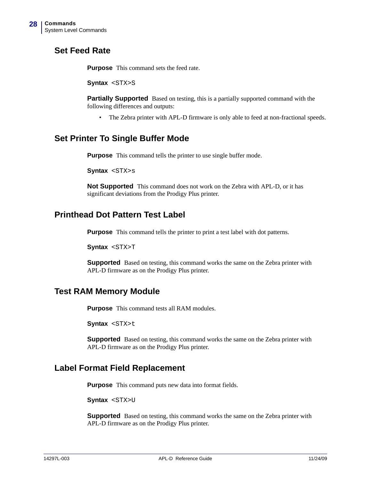#### <span id="page-27-0"></span>**Set Feed Rate**

**Purpose** This command sets the feed rate.

**Syntax** <STX>S

**Partially Supported** Based on testing, this is a partially supported command with the following differences and outputs:

• The Zebra printer with APL-D firmware is only able to feed at non-fractional speeds.

#### <span id="page-27-1"></span>**Set Printer To Single Buffer Mode**

**Purpose** This command tells the printer to use single buffer mode.

**Syntax** <STX>s

**Not Supported** This command does not work on the Zebra with APL-D, or it has significant deviations from the Prodigy Plus printer.

#### <span id="page-27-2"></span>**Printhead Dot Pattern Test Label**

**Purpose** This command tells the printer to print a test label with dot patterns.

**Syntax** <STX>T

**Supported** Based on testing, this command works the same on the Zebra printer with APL-D firmware as on the Prodigy Plus printer.

#### <span id="page-27-3"></span>**Test RAM Memory Module**

**Purpose** This command tests all RAM modules.

**Syntax** <STX>t

**Supported** Based on testing, this command works the same on the Zebra printer with APL-D firmware as on the Prodigy Plus printer.

#### <span id="page-27-4"></span>**Label Format Field Replacement**

**Purpose** This command puts new data into format fields.

**Syntax** <STX>U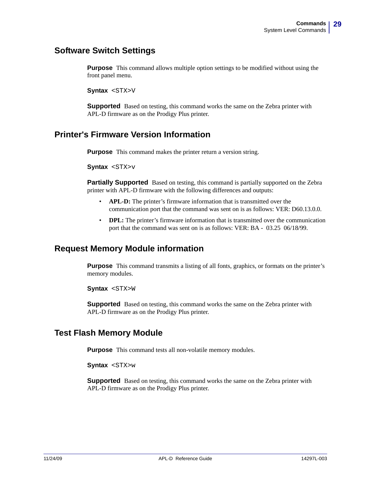#### <span id="page-28-0"></span>**Software Switch Settings**

**Purpose** This command allows multiple option settings to be modified without using the front panel menu.

**Syntax** <STX>V

**Supported** Based on testing, this command works the same on the Zebra printer with APL-D firmware as on the Prodigy Plus printer.

#### <span id="page-28-1"></span>**Printer's Firmware Version Information**

**Purpose** This command makes the printer return a version string.

**Syntax** <STX>v

**Partially Supported** Based on testing, this command is partially supported on the Zebra printer with APL-D firmware with the following differences and outputs:

- **APL-D:** The printer's firmware information that is transmitted over the communication port that the command was sent on is as follows: VER: D60.13.0.0.
- **DPL:** The printer's firmware information that is transmitted over the communication port that the command was sent on is as follows: VER: BA - 03.25 06/18/99.

#### <span id="page-28-2"></span>**Request Memory Module information**

**Purpose** This command transmits a listing of all fonts, graphics, or formats on the printer's memory modules.

**Syntax** <STX>W

**Supported** Based on testing, this command works the same on the Zebra printer with APL-D firmware as on the Prodigy Plus printer.

#### <span id="page-28-3"></span>**Test Flash Memory Module**

**Purpose** This command tests all non-volatile memory modules.

**Syntax** <STX>w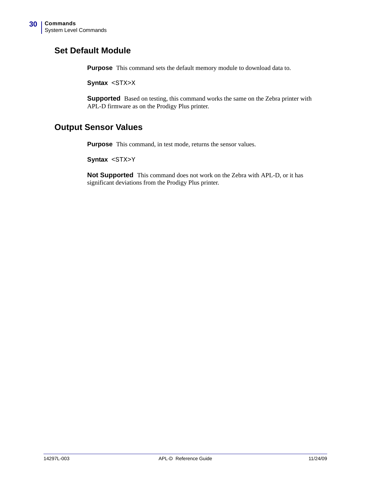#### <span id="page-29-0"></span>**Set Default Module**

**Purpose** This command sets the default memory module to download data to.

**Syntax** <STX>X

**Supported** Based on testing, this command works the same on the Zebra printer with APL-D firmware as on the Prodigy Plus printer.

#### <span id="page-29-1"></span>**Output Sensor Values**

**Purpose** This command, in test mode, returns the sensor values.

**Syntax** <STX>Y

**Not Supported** This command does not work on the Zebra with APL-D, or it has significant deviations from the Prodigy Plus printer.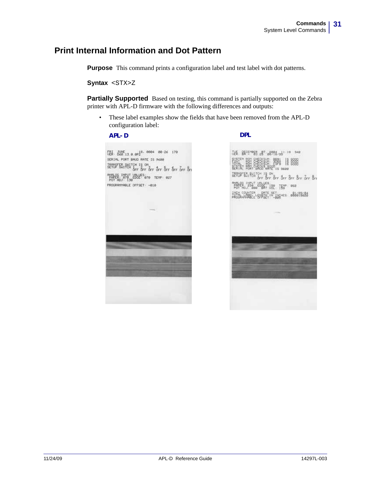### <span id="page-30-0"></span>**Print Internal Information and Dot Pattern**

**Purpose** This command prints a configuration label and test label with dot patterns.

**Syntax** <STX>Z

**Partially Supported** Based on testing, this command is partially supported on the Zebra printer with APL-D firmware with the following differences and outputs:

• These label examples show the fields that have been removed from the APL-D configuration label:

#### **APL-D DPL**

FRI JUNE<br>UER: D60 13 a ap2<sup>8, 0004</sup> 00:26 170<br>SERIAL PORT BAUD RATE IS 9600 JEMISTER, SHITCH IS ON ANN OC THRUT VALUES<br>PHPER: 070 EDGE: 070 TEMP: 027<br>POT RDJ: 130 PROGRAMMABLE OFFSET -010

7년 BECEMBER 287. 2004 241.10 342  $8888$ Ber Bre Bre Bre Bre Bre TEMP 062 OUNTER DETE SET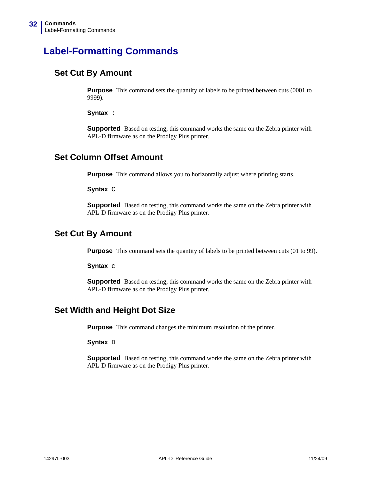# <span id="page-31-0"></span>**Label-Formatting Commands**

#### <span id="page-31-1"></span>**Set Cut By Amount**

**Purpose** This command sets the quantity of labels to be printed between cuts (0001 to 9999).

**Syntax** :

**Supported** Based on testing, this command works the same on the Zebra printer with APL-D firmware as on the Prodigy Plus printer.

#### <span id="page-31-2"></span>**Set Column Offset Amount**

**Purpose** This command allows you to horizontally adjust where printing starts.

**Syntax** C

**Supported** Based on testing, this command works the same on the Zebra printer with APL-D firmware as on the Prodigy Plus printer.

#### <span id="page-31-3"></span>**Set Cut By Amount**

**Purpose** This command sets the quantity of labels to be printed between cuts (01 to 99).

**Syntax** c

**Supported** Based on testing, this command works the same on the Zebra printer with APL-D firmware as on the Prodigy Plus printer.

#### <span id="page-31-4"></span>**Set Width and Height Dot Size**

**Purpose** This command changes the minimum resolution of the printer.

**Syntax** D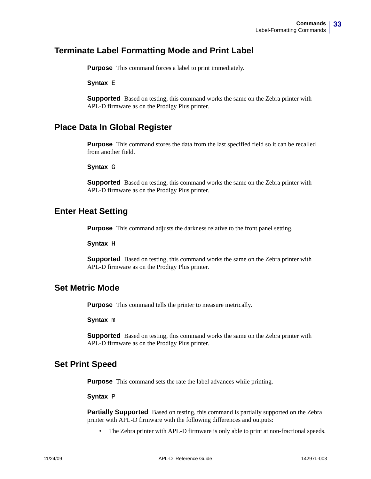#### <span id="page-32-0"></span>**Terminate Label Formatting Mode and Print Label**

**Purpose** This command forces a label to print immediately.

**Syntax** E

**Supported** Based on testing, this command works the same on the Zebra printer with APL-D firmware as on the Prodigy Plus printer.

#### <span id="page-32-1"></span>**Place Data In Global Register**

**Purpose** This command stores the data from the last specified field so it can be recalled from another field.

#### **Syntax** G

**Supported** Based on testing, this command works the same on the Zebra printer with APL-D firmware as on the Prodigy Plus printer.

#### <span id="page-32-2"></span>**Enter Heat Setting**

**Purpose** This command adjusts the darkness relative to the front panel setting.

**Syntax** H

**Supported** Based on testing, this command works the same on the Zebra printer with APL-D firmware as on the Prodigy Plus printer.

#### <span id="page-32-3"></span>**Set Metric Mode**

**Purpose** This command tells the printer to measure metrically.

**Syntax** m

**Supported** Based on testing, this command works the same on the Zebra printer with APL-D firmware as on the Prodigy Plus printer.

#### <span id="page-32-4"></span>**Set Print Speed**

**Purpose** This command sets the rate the label advances while printing.

**Syntax P** 

**Partially Supported** Based on testing, this command is partially supported on the Zebra printer with APL-D firmware with the following differences and outputs:

The Zebra printer with APL-D firmware is only able to print at non-fractional speeds.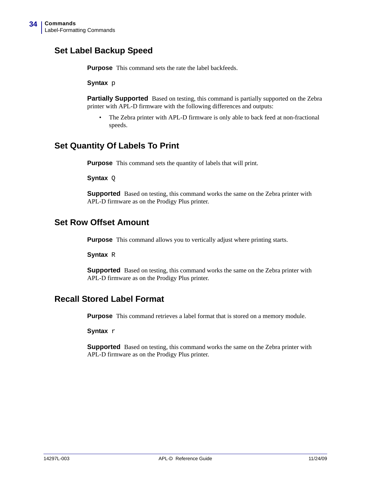### <span id="page-33-0"></span>**Set Label Backup Speed**

**Purpose** This command sets the rate the label backfeeds.

**Syntax** p

**Partially Supported** Based on testing, this command is partially supported on the Zebra printer with APL-D firmware with the following differences and outputs:

• The Zebra printer with APL-D firmware is only able to back feed at non-fractional speeds.

#### <span id="page-33-1"></span>**Set Quantity Of Labels To Print**

**Purpose** This command sets the quantity of labels that will print.

**Syntax** Q

**Supported** Based on testing, this command works the same on the Zebra printer with APL-D firmware as on the Prodigy Plus printer.

#### <span id="page-33-2"></span>**Set Row Offset Amount**

**Purpose** This command allows you to vertically adjust where printing starts.

**Syntax** R

**Supported** Based on testing, this command works the same on the Zebra printer with APL-D firmware as on the Prodigy Plus printer.

#### <span id="page-33-3"></span>**Recall Stored Label Format**

**Purpose** This command retrieves a label format that is stored on a memory module.

**Syntax** r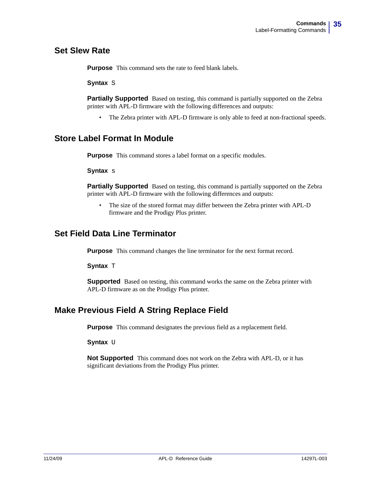#### <span id="page-34-0"></span>**Set Slew Rate**

**Purpose** This command sets the rate to feed blank labels.

**Syntax** S

**Partially Supported** Based on testing, this command is partially supported on the Zebra printer with APL-D firmware with the following differences and outputs:

• The Zebra printer with APL-D firmware is only able to feed at non-fractional speeds.

#### <span id="page-34-1"></span>**Store Label Format In Module**

**Purpose** This command stores a label format on a specific modules.

**Syntax** s

**Partially Supported** Based on testing, this command is partially supported on the Zebra printer with APL-D firmware with the following differences and outputs:

• The size of the stored format may differ between the Zebra printer with APL-D firmware and the Prodigy Plus printer.

#### <span id="page-34-2"></span>**Set Field Data Line Terminator**

**Purpose** This command changes the line terminator for the next format record.

**Syntax** T

**Supported** Based on testing, this command works the same on the Zebra printer with APL-D firmware as on the Prodigy Plus printer.

#### <span id="page-34-3"></span>**Make Previous Field A String Replace Field**

**Purpose** This command designates the previous field as a replacement field.

**Syntax U** 

**Not Supported** This command does not work on the Zebra with APL-D, or it has significant deviations from the Prodigy Plus printer.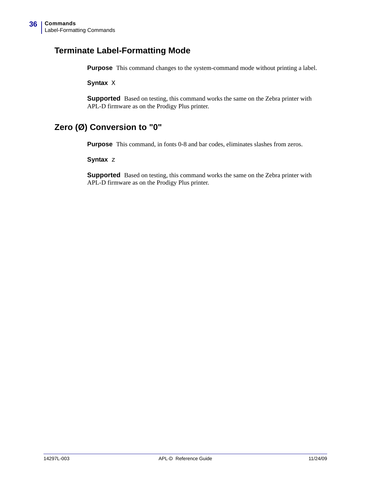#### <span id="page-35-0"></span>**Terminate Label-Formatting Mode**

**Purpose** This command changes to the system-command mode without printing a label.

**Syntax** X

**Supported** Based on testing, this command works the same on the Zebra printer with APL-D firmware as on the Prodigy Plus printer.

#### <span id="page-35-1"></span>**Zero (Ø) Conversion to "0"**

**Purpose** This command, in fonts 0-8 and bar codes, eliminates slashes from zeros.

**Syntax** z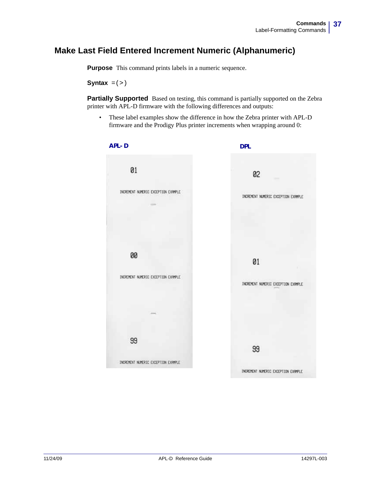## **Make Last Field Entered Increment Numeric (Alphanumeric)**

**Purpose** This command prints labels in a numeric sequence.

**Syntax**  $= (>)$ 

**Partially Supported** Based on testing, this command is partially supported on the Zebra printer with APL-D firmware with the following differences and outputs:

• These label examples show the difference in how the Zebra printer with APL-D firmware and the Prodigy Plus printer increments when wrapping around 0:

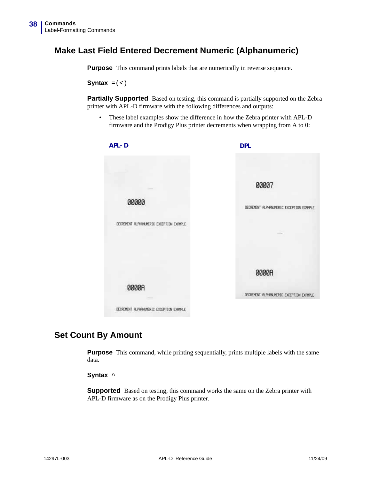## **Make Last Field Entered Decrement Numeric (Alphanumeric)**

**Purpose** This command prints labels that are numerically in reverse sequence.

**Syntax**  $= (<)$ 

Partially Supported Based on testing, this command is partially supported on the Zebra printer with APL-D firmware with the following differences and outputs:

• These label examples show the difference in how the Zebra printer with APL-D firmware and the Prodigy Plus printer decrements when wrapping from A to 0:



#### **Set Count By Amount**

**Purpose** This command, while printing sequentially, prints multiple labels with the same data.

**Syntax** ^

**Supported** Based on testing, this command works the same on the Zebra printer with APL-D firmware as on the Prodigy Plus printer.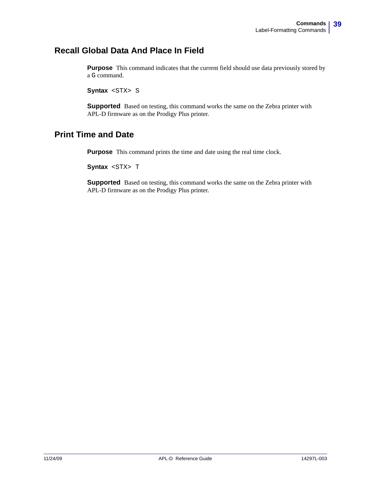## **Recall Global Data And Place In Field**

**Purpose** This command indicates that the current field should use data previously stored by a G command.

**Syntax <STX> S** 

**Supported** Based on testing, this command works the same on the Zebra printer with APL-D firmware as on the Prodigy Plus printer.

## **Print Time and Date**

**Purpose** This command prints the time and date using the real time clock.

**Syntax <STX> T** 

**Supported** Based on testing, this command works the same on the Zebra printer with APL-D firmware as on the Prodigy Plus printer.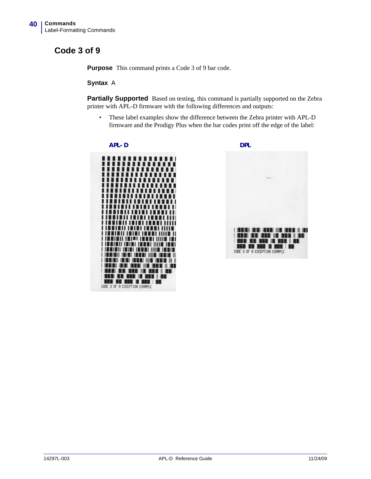## **Code 3 of 9**

**Purpose** This command prints a Code 3 of 9 bar code.

**Syntax** A

**Partially Supported** Based on testing, this command is partially supported on the Zebra printer with APL-D firmware with the following differences and outputs:

• These label examples show the difference between the Zebra printer with APL-D firmware and the Prodigy Plus when the bar codes print off the edge of the label:



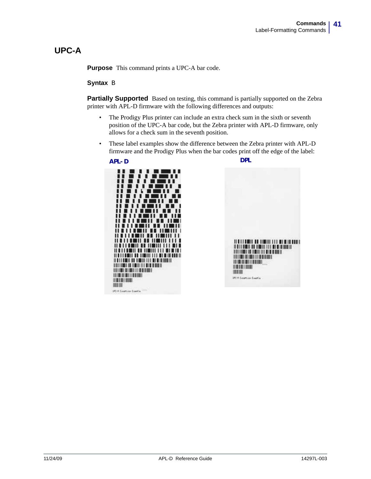## **UPC-A**

**Purpose** This command prints a UPC-A bar code.

#### **Syntax** B

Partially Supported Based on testing, this command is partially supported on the Zebra printer with APL-D firmware with the following differences and outputs:

- The Prodigy Plus printer can include an extra check sum in the sixth or seventh position of the UPC-A bar code, but the Zebra printer with APL-D firmware, only allows for a check sum in the seventh position.
- These label examples show the difference between the Zebra printer with APL-D firmware and the Prodigy Plus when the bar codes print off the edge of the label:



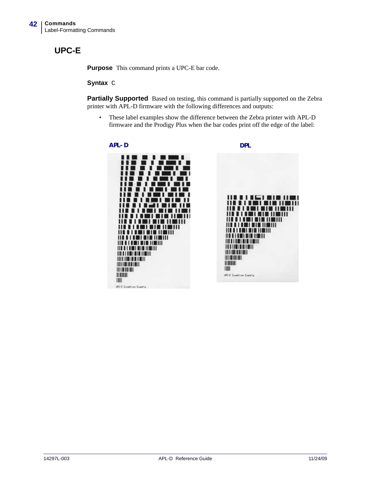## **UPC-E**

**Purpose** This command prints a UPC-E bar code.

#### **Syntax** C

**Partially Supported** Based on testing, this command is partially supported on the Zebra printer with APL-D firmware with the following differences and outputs:

• These label examples show the difference between the Zebra printer with APL-D firmware and the Prodigy Plus when the bar codes print off the edge of the label:

#### **APL-D DPL**

ш . . . .

,,,,, 111 **111 111** 111 <u> 11 | 11 | 12 | 12 | 13 | 14 | 14</u> III I I I III BI BI III

<u> III III III III III III III </u>

**III III I III III III** 

UPC-E Exceltion Exertia

**HITTI TILLIN** 

HINHA

**HILLIER** m

11 . . 11 1

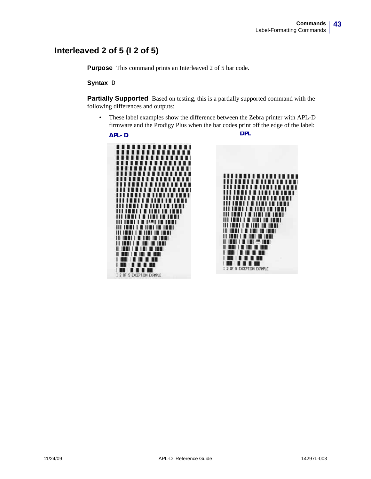## **Interleaved 2 of 5 (I 2 of 5)**

**Purpose** This command prints an Interleaved 2 of 5 bar code.

#### **Syntax** D

**Partially Supported** Based on testing, this is a partially supported command with the following differences and outputs:

• These label examples show the difference between the Zebra printer with APL-D firmware and the Prodigy Plus when the bar codes print off the edge of the label:

**APL-D DPL**1 ........... mmmm ,,,,,,,,,, ,,,,,,,,, . . . . . . . . . ........ ,,,,,, ''''''' . . . . . . . . '''''''' 11 | 11 | 11 | 1 ,,,,,,,,,,,,,,,,, **.......... THEFT OF PATTE THE IBBI I O IIBI IB IBB** <u> 1111 | 1111 | 1111 | 1111 | 1111 | 1111 | 1111 | 1111 | 1111 | 1111 | 1111 | 1111 | 1111 | 1111 | 1111 | 1111 </u> **III IMMI I M IIMI IN IMMI** III 1881 | 8 1181 18 1919 | **II ISBN 1-8-180-181-1810** . . . . . . . . . . I 2 OF 5 EXCEPTION EXPIPLE

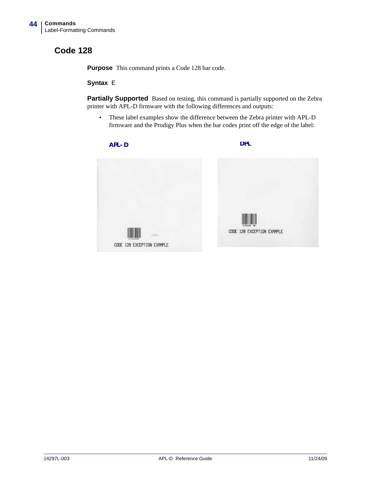## **Code 128**

**Purpose** This command prints a Code 128 bar code.

#### **Syntax** E

Partially Supported Based on testing, this command is partially supported on the Zebra printer with APL-D firmware with the following differences and outputs:

• These label examples show the difference between the Zebra printer with APL-D firmware and the Prodigy Plus when the bar codes print off the edge of the label:

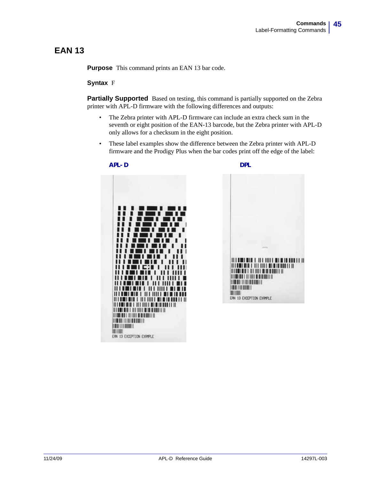## **EAN 13**

**Purpose** This command prints an EAN 13 bar code.

#### **Syntax** F

**Partially Supported** Based on testing, this command is partially supported on the Zebra printer with APL-D firmware with the following differences and outputs:

- The Zebra printer with APL-D firmware can include an extra check sum in the seventh or eight position of the EAN-13 barcode, but the Zebra printer with APL-D only allows for a checksum in the eight position.
- These label examples show the difference between the Zebra printer with APL-D firmware and the Prodigy Plus when the bar codes print off the edge of the label:



*HITMINIA L. HIT HILL BLK LAND LET H <u><b>ITERES ET AT HITER BERRETTE</u>* **THE REAL PROPERTY OF STATISTICS BIR HEIR BEING IN THE REAL PROPERTY BUILD** ERN 13 EXCEPTION EXPIPLE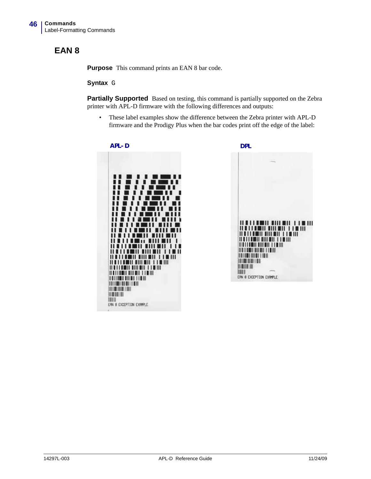## **EAN 8**

**Purpose** This command prints an EAN 8 bar code.

#### **Syntax** G

Partially Supported Based on testing, this command is partially supported on the Zebra printer with APL-D firmware with the following differences and outputs:

• These label examples show the difference between the Zebra printer with APL-D firmware and the Prodigy Plus when the bar codes print off the edge of the label:





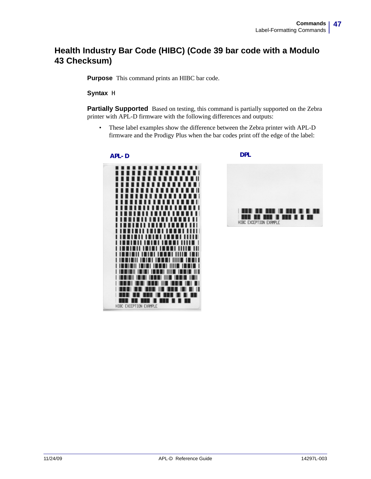## **Health Industry Bar Code (HIBC) (Code 39 bar code with a Modulo 43 Checksum)**

**Purpose** This command prints an HIBC bar code.

**Syntax** H

**Partially Supported** Based on testing, this command is partially supported on the Zebra printer with APL-D firmware with the following differences and outputs:

• These label examples show the difference between the Zebra printer with APL-D firmware and the Prodigy Plus when the bar codes print off the edge of the label:







HIBC EXCEPTION EXPIRE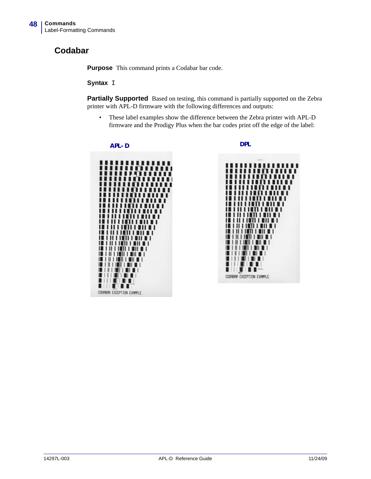## **Codabar**

**Purpose** This command prints a Codabar bar code.

#### **Syntax** I

**Partially Supported** Based on testing, this command is partially supported on the Zebra printer with APL-D firmware with the following differences and outputs:

• These label examples show the difference between the Zebra printer with APL-D firmware and the Prodigy Plus when the bar codes print off the edge of the label:



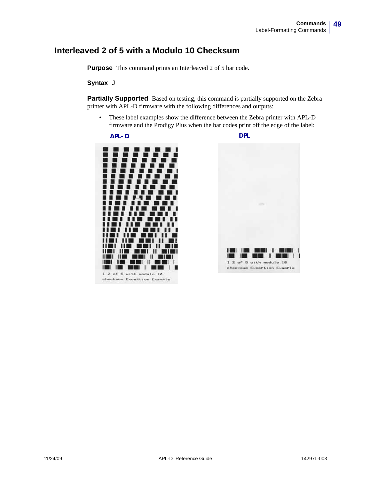### **Interleaved 2 of 5 with a Modulo 10 Checksum**

**Purpose** This command prints an Interleaved 2 of 5 bar code.

#### **Syntax** J

**Partially Supported** Based on testing, this command is partially supported on the Zebra printer with APL-D firmware with the following differences and outputs:

• These label examples show the difference between the Zebra printer with APL-D firmware and the Prodigy Plus when the bar codes print off the edge of the label:



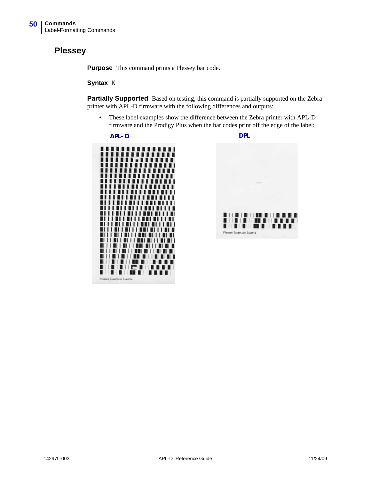## **Plessey**

**Purpose** This command prints a Plessey bar code.

#### **Syntax** K

**Partially Supported** Based on testing, this command is partially supported on the Zebra printer with APL-D firmware with the following differences and outputs:

• These label examples show the difference between the Zebra printer with APL-D firmware and the Prodigy Plus when the bar codes print off the edge of the label:



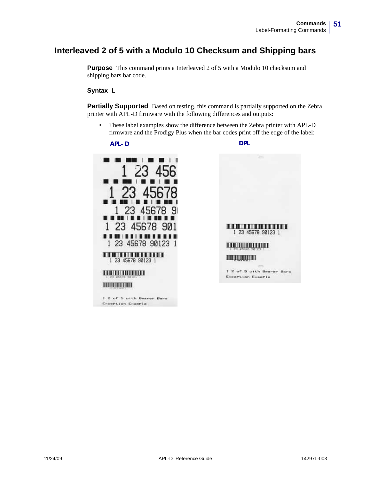## **Interleaved 2 of 5 with a Modulo 10 Checksum and Shipping bars**

**Purpose** This command prints a Interleaved 2 of 5 with a Modulo 10 checksum and shipping bars bar code.

**Syntax** L

**Partially Supported** Based on testing, this command is partially supported on the Zebra printer with APL-D firmware with the following differences and outputs:

• These label examples show the difference between the Zebra printer with APL-D firmware and the Prodigy Plus when the bar codes print off the edge of the label:

**APL-D DPL**

Exception Example

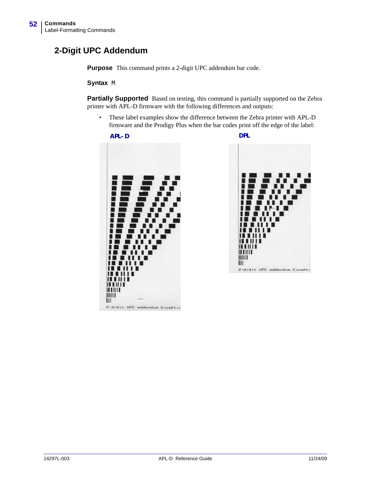## **2-Digit UPC Addendum**

**Purpose** This command prints a 2-digit UPC addendum bar code.

**Syntax** M

**Partially Supported** Based on testing, this command is partially supported on the Zebra printer with APL-D firmware with the following differences and outputs:

• These label examples show the difference between the Zebra printer with APL-D firmware and the Prodigy Plus when the bar codes print off the edge of the label:



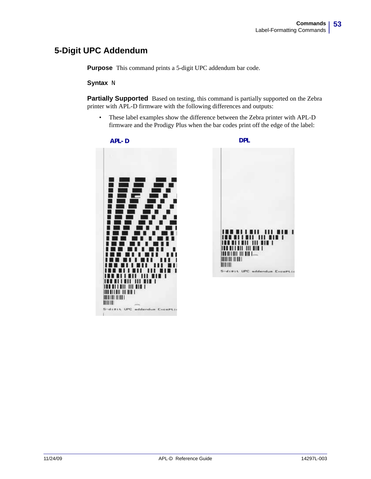## **5-Digit UPC Addendum**

**Purpose** This command prints a 5-digit UPC addendum bar code.

#### **Syntax** N

**Partially Supported** Based on testing, this command is partially supported on the Zebra printer with APL-D firmware with the following differences and outputs:

• These label examples show the difference between the Zebra printer with APL-D firmware and the Prodigy Plus when the bar codes print off the edge of the label:



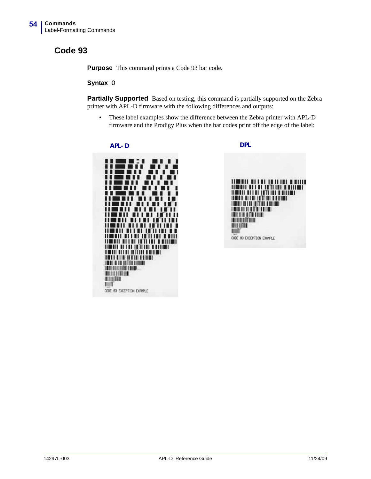## **Code 93**

**Purpose** This command prints a Code 93 bar code.

#### **Syntax** O

**Partially Supported** Based on testing, this command is partially supported on the Zebra printer with APL-D firmware with the following differences and outputs:

• These label examples show the difference between the Zebra printer with APL-D firmware and the Prodigy Plus when the bar codes print off the edge of the label:



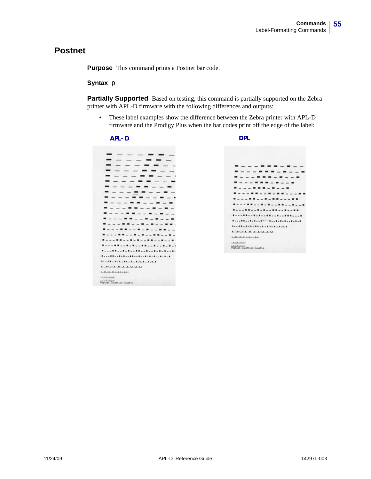#### **Postnet**

**Purpose** This command prints a Postnet bar code.

#### **Syntax** p

**Partially Supported** Based on testing, this command is partially supported on the Zebra printer with APL-D firmware with the following differences and outputs:

• These label examples show the difference between the Zebra printer with APL-D firmware and the Prodigy Plus when the bar codes print off the edge of the label:



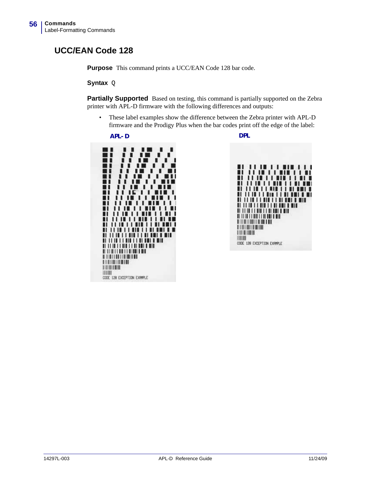## **UCC/EAN Code 128**

**Purpose** This command prints a UCC/EAN Code 128 bar code.

**Syntax** Q

**Partially Supported** Based on testing, this command is partially supported on the Zebra printer with APL-D firmware with the following differences and outputs:

• These label examples show the difference between the Zebra printer with APL-D firmware and the Prodigy Plus when the bar codes print off the edge of the label:

**APL-D DPL**



 $1111111$ O CODO п **IN 11 MIN 11 MIN 181 M** ш *<u>TETTI TETTI DETTYIT</u>* <u> 11 11 11 11 11 11 11 11 11 11 11 1</u> **AL IS ON THE UNITED RIVER WITH** <u> A TEATRA DE LA BILITARIA DE L</u> 珊瑚 CODE 128 EXCEPTION EXPIRE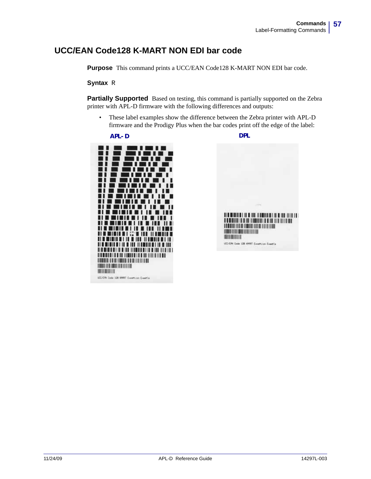## **UCC/EAN Code128 K-MART NON EDI bar code**

**Purpose** This command prints a UCC/EAN Code128 K-MART NON EDI bar code.

#### **Syntax** R

Partially Supported Based on testing, this command is partially supported on the Zebra printer with APL-D firmware with the following differences and outputs:

• These label examples show the difference between the Zebra printer with APL-D firmware and the Prodigy Plus when the bar codes print off the edge of the label:



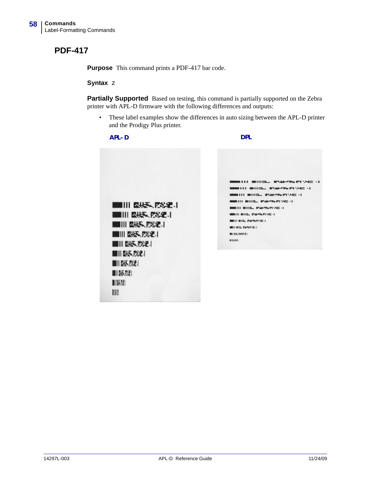## **PDF-417**

**Purpose** This command prints a PDF-417 bar code.

#### **Syntax** z

**Partially Supported** Based on testing, this command is partially supported on the Zebra printer with APL-D firmware with the following differences and outputs:

• These label examples show the differences in auto sizing between the APL-D printer and the Prodigy Plus printer.

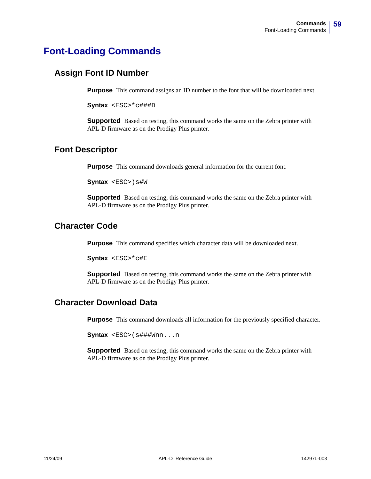# **Font-Loading Commands**

## **Assign Font ID Number**

**Purpose** This command assigns an ID number to the font that will be downloaded next.

**Syntax** <ESC>\*c###D

**Supported** Based on testing, this command works the same on the Zebra printer with APL-D firmware as on the Prodigy Plus printer.

#### **Font Descriptor**

**Purpose** This command downloads general information for the current font.

**Syntax**  $$ )  $s#W$ 

**Supported** Based on testing, this command works the same on the Zebra printer with APL-D firmware as on the Prodigy Plus printer.

#### **Character Code**

**Purpose** This command specifies which character data will be downloaded next.

 $\text{Symtax}$  <ESC>\*c#E

**Supported** Based on testing, this command works the same on the Zebra printer with APL-D firmware as on the Prodigy Plus printer.

## **Character Download Data**

**Purpose** This command downloads all information for the previously specified character.

**Syntax** <ESC>(s###Wnn...n

**Supported** Based on testing, this command works the same on the Zebra printer with APL-D firmware as on the Prodigy Plus printer.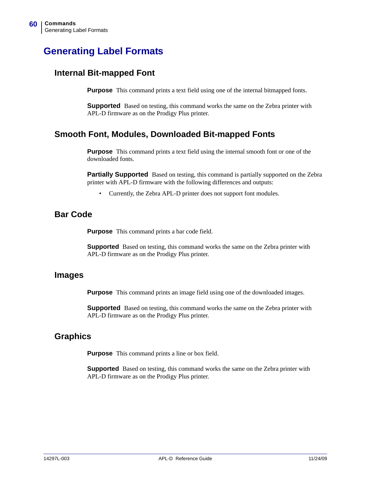# **Generating Label Formats**

#### **Internal Bit-mapped Font**

**Purpose** This command prints a text field using one of the internal bitmapped fonts.

**Supported** Based on testing, this command works the same on the Zebra printer with APL-D firmware as on the Prodigy Plus printer.

#### **Smooth Font, Modules, Downloaded Bit-mapped Fonts**

**Purpose** This command prints a text field using the internal smooth font or one of the downloaded fonts.

**Partially Supported** Based on testing, this command is partially supported on the Zebra printer with APL-D firmware with the following differences and outputs:

• Currently, the Zebra APL-D printer does not support font modules.

#### **Bar Code**

**Purpose** This command prints a bar code field.

**Supported** Based on testing, this command works the same on the Zebra printer with APL-D firmware as on the Prodigy Plus printer.

#### **Images**

**Purpose** This command prints an image field using one of the downloaded images.

**Supported** Based on testing, this command works the same on the Zebra printer with APL-D firmware as on the Prodigy Plus printer.

#### **Graphics**

**Purpose** This command prints a line or box field.

**Supported** Based on testing, this command works the same on the Zebra printer with APL-D firmware as on the Prodigy Plus printer.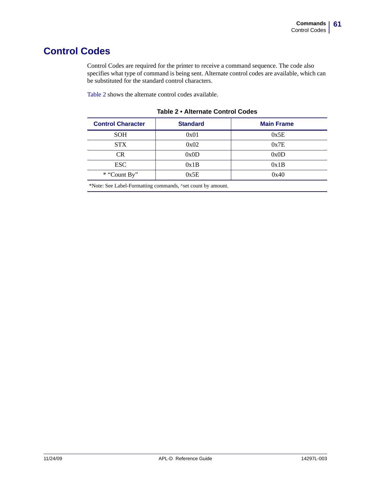# **Control Codes**

Control Codes are required for the printer to receive a command sequence. The code also specifies what type of command is being sent. Alternate control codes are available, which can be substituted for the standard control characters.

[Table 2](#page-60-0) shows the alternate control codes available.

<span id="page-60-0"></span>

| <b>Standard</b> | <b>Main Frame</b> |  |
|-----------------|-------------------|--|
| 0x01            | 0x5E              |  |
| 0x02            | 0x7E              |  |
| 0x0D            | 0x0D              |  |
| 0x1B            | 0x1B              |  |
| 0x5E            | 0x40              |  |
|                 |                   |  |

<span id="page-60-1"></span>**Table 2 • Alternate Control Codes**

\*Note: See Label-Formatting commands, ^set count by amount.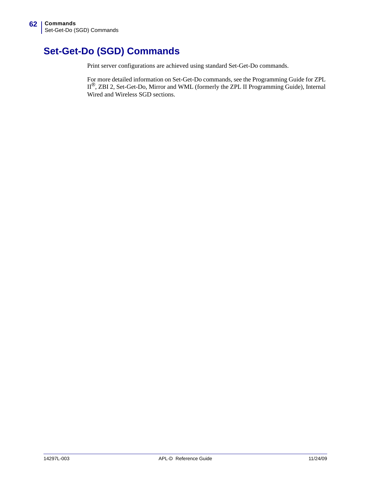# **Set-Get-Do (SGD) Commands**

Print server configurations are achieved using standard Set-Get-Do commands.

For more detailed information on Set-Get-Do commands, see the Programming Guide for ZPL II*®*, ZBI 2, Set-Get-Do, Mirror and WML (formerly the ZPL II Programming Guide), Internal Wired and Wireless SGD sections.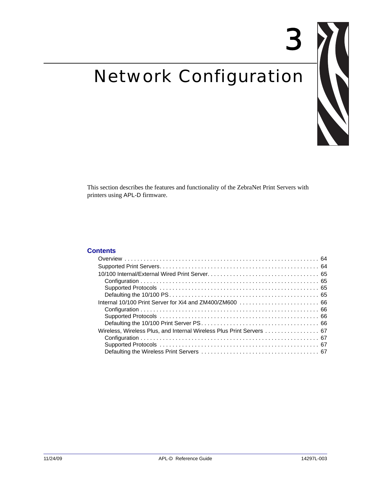# Network Configuration



3

This section describes the features and functionality of the ZebraNet Print Servers with printers using APL-D firmware.

#### **Contents**

| Wireless, Wireless Plus, and Internal Wireless Plus Print Servers  67 |
|-----------------------------------------------------------------------|
|                                                                       |
|                                                                       |
|                                                                       |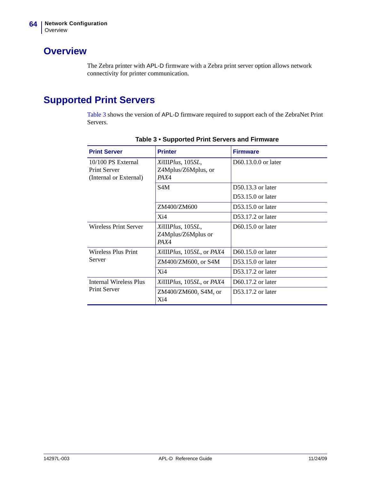## <span id="page-63-1"></span>**Overview**

The Zebra printer with APL-D firmware with a Zebra print server option allows network connectivity for printer communication.

# <span id="page-63-0"></span>**Supported Print Servers**

[Table 3](#page-63-2) shows the version of APL-D firmware required to support each of the ZebraNet Print Servers.

<span id="page-63-2"></span>

| <b>Print Server</b>                                                 | <b>Printer</b>                                   | <b>Firmware</b>     |
|---------------------------------------------------------------------|--------------------------------------------------|---------------------|
| 10/100 PS External<br><b>Print Server</b><br>(Internal or External) | XiIIIPlus, 105SL,<br>Z4Mplus/Z6Mplus, or<br>PAX4 | D60.13.0.0 or later |
|                                                                     | S4M                                              | $D50.13.3$ or later |
|                                                                     |                                                  | $D53.15.0$ or later |
|                                                                     | ZM400/ZM600                                      | $D53.15.0$ or later |
|                                                                     | Xi4                                              | $D53.17.2$ or later |
| Wireless Print Server                                               | XiIIIPlus, 105SL,<br>Z4Mplus/Z6Mplus or<br>PAX4  | $D60.15.0$ or later |
| <b>Wireless Plus Print</b>                                          | XiIIIPlus, 105SL, or PAX4                        | $D60.15.0$ or later |
| Server                                                              | ZM400/ZM600, or S4M                              | $D53.15.0$ or later |
|                                                                     | Xi4                                              | $D53.17.2$ or later |
| Internal Wireless Plus                                              | XiIIIPlus, 105SL, or PAX4                        | D60.17.2 or later   |
| <b>Print Server</b>                                                 | ZM400/ZM600, S4M, or<br>Xi4                      | D53.17.2 or later   |

**Table 3 • Supported Print Servers and Firmware**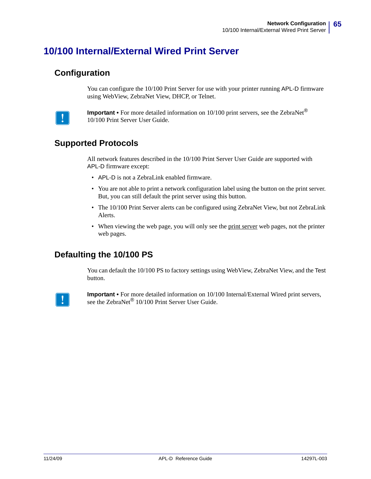# <span id="page-64-2"></span>**10/100 Internal/External Wired Print Server**

#### <span id="page-64-0"></span>**Configuration**

You can configure the 10/100 Print Server for use with your printer running APL-D firmware using WebView, ZebraNet View, DHCP, or Telnet.



**Important •** For more detailed information on 10/100 print servers, see the ZebraNet*®* 10/100 Print Server User Guide.

#### <span id="page-64-1"></span>**Supported Protocols**

All network features described in the 10/100 Print Server User Guide are supported with APL-D firmware except:

- APL-D is not a ZebraLink enabled firmware.
- You are not able to print a network configuration label using the button on the print server. But, you can still default the print server using this button.
- The 10/100 Print Server alerts can be configured using ZebraNet View, but not ZebraLink Alerts.
- When viewing the web page, you will only see the print server web pages, not the printer web pages.

#### <span id="page-64-3"></span>**Defaulting the 10/100 PS**

You can default the 10/100 PS to factory settings using WebView, ZebraNet View, and the Test button.



**Important •** For more detailed information on 10/100 Internal/External Wired print servers, see the ZebraNet*®* 10/100 Print Server User Guide.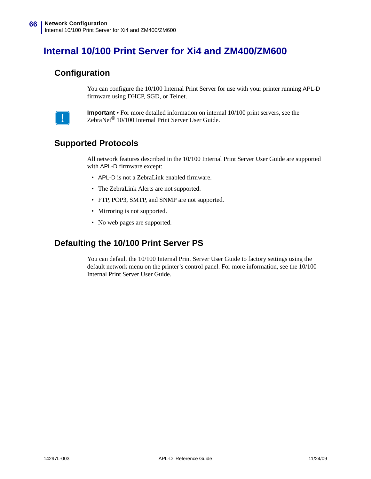# <span id="page-65-3"></span>**Internal 10/100 Print Server for Xi4 and ZM400/ZM600**

#### <span id="page-65-0"></span>**Configuration**

You can configure the 10/100 Internal Print Server for use with your printer running APL-D firmware using DHCP, SGD, or Telnet.



**Important •** For more detailed information on internal 10/100 print servers, see the ZebraNet*®* 10/100 Internal Print Server User Guide.

#### <span id="page-65-1"></span>**Supported Protocols**

All network features described in the 10/100 Internal Print Server User Guide are supported with APL-D firmware except:

- APL-D is not a ZebraLink enabled firmware.
- The ZebraLink Alerts are not supported.
- FTP, POP3, SMTP, and SNMP are not supported.
- Mirroring is not supported.
- No web pages are supported.

#### <span id="page-65-2"></span>**Defaulting the 10/100 Print Server PS**

You can default the 10/100 Internal Print Server User Guide to factory settings using the default network menu on the printer's control panel. For more information, see the 10/100 Internal Print Server User Guide.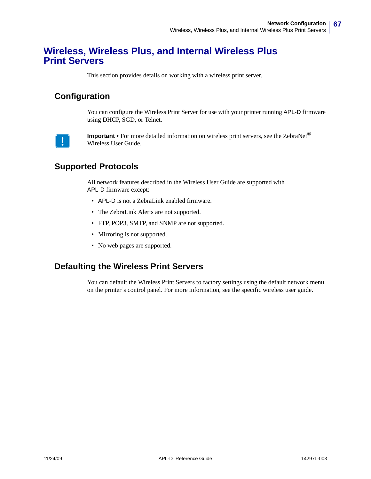## <span id="page-66-3"></span>**Wireless, Wireless Plus, and Internal Wireless Plus Print Servers**

This section provides details on working with a wireless print server.

#### <span id="page-66-0"></span>**Configuration**

You can configure the Wireless Print Server for use with your printer running APL-D firmware using DHCP, SGD, or Telnet.



**Important •** For more detailed information on wireless print servers, see the ZebraNet*®* Wireless User Guide.

## <span id="page-66-1"></span>**Supported Protocols**

All network features described in the Wireless User Guide are supported with APL-D firmware except:

- APL-D is not a ZebraLink enabled firmware.
- The ZebraLink Alerts are not supported.
- FTP, POP3, SMTP, and SNMP are not supported.
- Mirroring is not supported.
- No web pages are supported.

#### <span id="page-66-2"></span>**Defaulting the Wireless Print Servers**

You can default the Wireless Print Servers to factory settings using the default network menu on the printer's control panel. For more information, see the specific wireless user guide.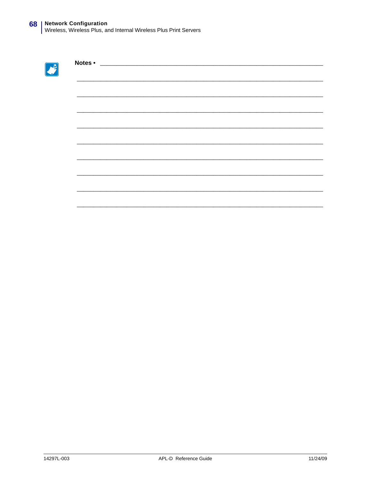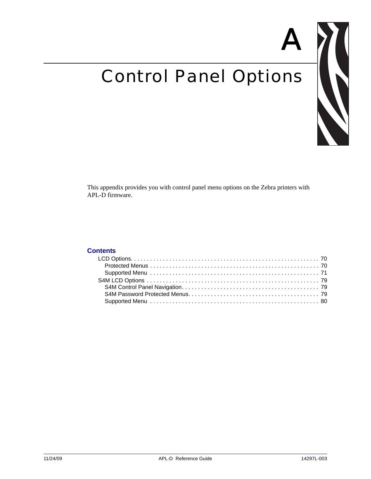# Control Panel Options



A

This appendix provides you with control panel menu options on the Zebra printers with APL-D firmware.

#### **Contents**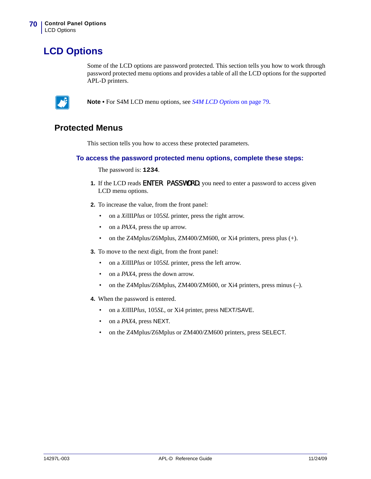# <span id="page-69-0"></span>**LCD Options**

Some of the LCD options are password protected. This section tells you how to work through password protected menu options and provides a table of all the LCD options for the supported APL-D printers.



**Note •** For S4M LCD menu options, see *[S4M LCD Options](#page-78-0)* on page 79.

#### <span id="page-69-1"></span>**Protected Menus**

This section tells you how to access these protected parameters.

#### **To access the password protected menu options, complete these steps:**

The password is: **1234**.

- **1.** If the LCD reads ENTER PASSWORD, you need to enter a password to access given LCD menu options.
- **2.** To increase the value, from the front panel:
	- on a *Xi*III*Plus* or 105*SL* printer, press the right arrow.
	- on a *PAX*4, press the up arrow.
	- on the Z4Mplus/Z6Mplus, ZM400/ZM600, or Xi4 printers, press plus (+).
- **3.** To move to the next digit, from the front panel:
	- on a *Xi*III*Plus* or 105*SL* printer, press the left arrow.
	- on a *PAX*4, press the down arrow.
	- on the Z4Mplus/Z6Mplus, ZM400/ZM600, or Xi4 printers, press minus (-).
- **4.** When the password is entered.
	- on a *Xi*III*Plus*, 105*SL,* or Xi4 printer, press NEXT/SAVE.
	- on a *PAX*4, press NEXT.
	- on the Z4Mplus/Z6Mplus or ZM400/ZM600 printers, press SELECT.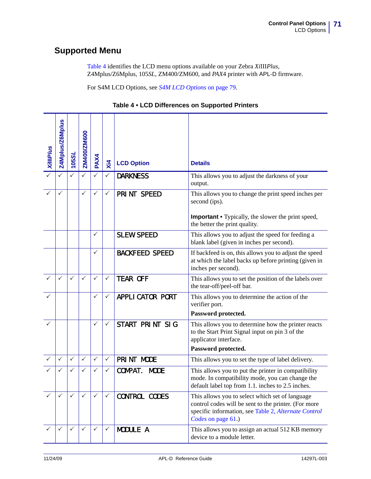# <span id="page-70-0"></span>**Supported Menu**

[Table 4](#page-70-1) identifies the LCD menu options available on your Zebra *Xi*III*Plus*, Z4Mplus/Z6Mplus, 105*SL*, ZM400/ZM600, and *PAX*4 printer with APL-D firmware.

For S4M LCD Options, see *[S4M LCD Options](#page-78-0)* on page 79.

| Table 4 • LCD Differences on Supported Printers |  |  |
|-------------------------------------------------|--|--|
|-------------------------------------------------|--|--|

<span id="page-70-1"></span>

| <b>Xill Plus</b> | Z4Mplus/Z6Mplus | 105SL        | ZM400/ZM600  | PAX4         | $X$ i $4$    | <b>LCD Option</b>       | <b>Details</b>                                                                                                                                                                        |
|------------------|-----------------|--------------|--------------|--------------|--------------|-------------------------|---------------------------------------------------------------------------------------------------------------------------------------------------------------------------------------|
|                  |                 |              |              | $\checkmark$ | $\checkmark$ | <b>DARKNESS</b>         | This allows you to adjust the darkness of your<br>output.                                                                                                                             |
|                  |                 |              | ✓            | ✓            | $\checkmark$ | PRINT SPEED             | This allows you to change the print speed inches per<br>second (ips).<br><b>Important •</b> Typically, the slower the print speed,<br>the better the print quality.                   |
|                  |                 |              |              | $\checkmark$ |              | <b>SLEW SPEED</b>       | This allows you to adjust the speed for feeding a<br>blank label (given in inches per second).                                                                                        |
|                  |                 |              |              | ✓            |              | <b>BACKFEED SPEED</b>   | If backfeed is on, this allows you to adjust the speed<br>at which the label backs up before printing (given in<br>inches per second).                                                |
|                  | ✓               | $\checkmark$ | $\checkmark$ | $\checkmark$ | ✓            | <b>TEAR OFF</b>         | This allows you to set the position of the labels over<br>the tear-off/peel-off bar.                                                                                                  |
|                  |                 |              |              | $\checkmark$ | ✓            | <b>APPLI CATOR PORT</b> | This allows you to determine the action of the<br>verifier port.<br>Password protected.                                                                                               |
|                  |                 |              |              | ✓            | ✓            | START PRINT SIG         | This allows you to determine how the printer reacts<br>to the Start Print Signal input on pin 3 of the<br>applicator interface.<br>Password protected.                                |
|                  | ✓               | $\checkmark$ | ✓            | $\checkmark$ | $\checkmark$ | PRINT MODE              | This allows you to set the type of label delivery.                                                                                                                                    |
|                  | ✓               | ✓            | ✓            | ✓            | ✓            | COMPAT.<br><b>MODE</b>  | This allows you to put the printer in compatibility<br>mode. In compatibility mode, you can change the<br>default label top from 1.1. inches to 2.5 inches.                           |
|                  | $\checkmark$    | $\checkmark$ | $\checkmark$ | $\checkmark$ | $\checkmark$ | <b>CONTROL CODES</b>    | This allows you to select which set of language<br>control codes will be sent to the printer. (For more<br>specific information, see Table 2, Alternate Control<br>Codes on page 61.) |
|                  | ✓               | $\checkmark$ | ✓            | ✓            | $\checkmark$ | MODULE A                | This allows you to assign an actual 512 KB memory<br>device to a module letter.                                                                                                       |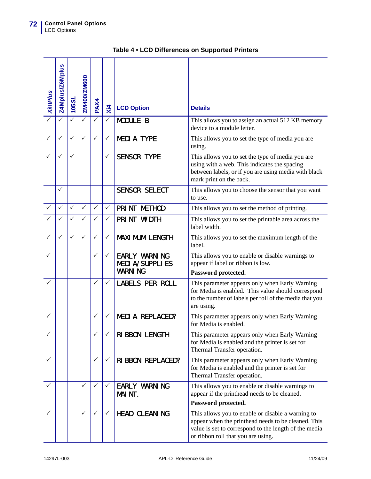| <b>Xill Plus</b> | Z4Mplus/Z6Mplus | 105SL        | ZM400/ZM600  | PAX4         | $X$ <sub>14</sub> | <b>LCD Option</b>                                               | <b>Details</b>                                                                                                                                                                                          |
|------------------|-----------------|--------------|--------------|--------------|-------------------|-----------------------------------------------------------------|---------------------------------------------------------------------------------------------------------------------------------------------------------------------------------------------------------|
|                  |                 | ✓            | ✓            | ✓            | ✓                 | <b>MODULE B</b>                                                 | This allows you to assign an actual 512 KB memory<br>device to a module letter.                                                                                                                         |
|                  | $\checkmark$    | $\checkmark$ | $\checkmark$ | $\checkmark$ | ✓                 | <b>MEDIA TYPE</b>                                               | This allows you to set the type of media you are<br>using.                                                                                                                                              |
|                  | ✓               | $\checkmark$ |              |              | ✓                 | <b>SENSOR TYPE</b>                                              | This allows you to set the type of media you are<br>using with a web. This indicates the spacing<br>between labels, or if you are using media with black<br>mark print on the back.                     |
|                  | ✓               |              |              |              |                   | <b>SENSOR SELECT</b>                                            | This allows you to choose the sensor that you want<br>to use.                                                                                                                                           |
|                  | $\checkmark$    | $\checkmark$ | $\checkmark$ | $\checkmark$ | $\checkmark$      | PRINT METHOD                                                    | This allows you to set the method of printing.                                                                                                                                                          |
|                  | ✓               | $\checkmark$ | $\checkmark$ | ✓            | ✓                 | PRINT WIDTH                                                     | This allows you to set the printable area across the<br>label width.                                                                                                                                    |
|                  | ✓               | ✓            | $\checkmark$ | $\checkmark$ | ✓                 | <b>MAXI MUM LENGTH</b>                                          | This allows you to set the maximum length of the<br>label.                                                                                                                                              |
|                  |                 |              |              | ✓            | ✓                 | <b>EARLY WARNING</b><br><b>MEDIA/SUPPLIES</b><br><b>WARNING</b> | This allows you to enable or disable warnings to<br>appear if label or ribbon is low.<br>Password protected.                                                                                            |
|                  |                 |              |              | ✓            | ✓                 | <b>LABELS PER ROLL</b>                                          | This parameter appears only when Early Warning<br>for Media is enabled. This value should correspond<br>to the number of labels per roll of the media that you<br>are using.                            |
| ✓                |                 |              |              | $\checkmark$ | ✓                 | <b>MEDIA REPLACED?</b>                                          | This parameter appears only when Early Warning<br>for Media is enabled.                                                                                                                                 |
|                  |                 |              |              |              |                   | RIBBON LENGTH                                                   | This parameter appears only when Early Warning<br>for Media is enabled and the printer is set for<br>Thermal Transfer operation.                                                                        |
|                  |                 |              |              | ✓            | ✓                 | <b>RIBBON REPLACED?</b>                                         | This parameter appears only when Early Warning<br>for Media is enabled and the printer is set for<br>Thermal Transfer operation.                                                                        |
|                  |                 |              | ✓            | $\checkmark$ | ✓                 | <b>EARLY WARNING</b><br>MAINT.                                  | This allows you to enable or disable warnings to<br>appear if the printhead needs to be cleaned.<br>Password protected.                                                                                 |
|                  |                 |              | $\checkmark$ | ✓            | ✓                 | HEAD CLEANING                                                   | This allows you to enable or disable a warning to<br>appear when the printhead needs to be cleaned. This<br>value is set to correspond to the length of the media<br>or ribbon roll that you are using. |

|  |  | Table 4 . LCD Differences on Supported Printers |  |
|--|--|-------------------------------------------------|--|
|--|--|-------------------------------------------------|--|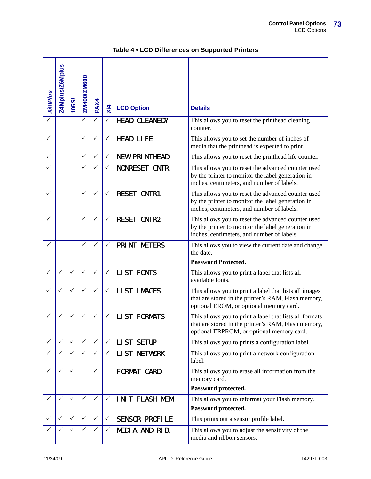| <b>XillIPlus</b> | Z4Mplus/Z6Mplus | <b>105SL</b> | ZM400/ZM600  | PAX4         | $X$ <sub>14</sub> | <b>LCD Option</b>     | <b>Details</b>                                                                                                                                              |
|------------------|-----------------|--------------|--------------|--------------|-------------------|-----------------------|-------------------------------------------------------------------------------------------------------------------------------------------------------------|
|                  |                 |              | ✓            | ✓            | ✓                 | HEAD CLEANED?         | This allows you to reset the printhead cleaning<br>counter.                                                                                                 |
|                  |                 |              | ✓            | ✓            | ✓                 | <b>HEAD LIFE</b>      | This allows you to set the number of inches of<br>media that the printhead is expected to print.                                                            |
| ✓                |                 |              | $\checkmark$ | ✓            | ✓                 | <b>NEW PRINTHEAD</b>  | This allows you to reset the printhead life counter.                                                                                                        |
|                  |                 |              | $\checkmark$ | $\checkmark$ | ✓                 | <b>NONRESET CNTR</b>  | This allows you to reset the advanced counter used<br>by the printer to monitor the label generation in<br>inches, centimeters, and number of labels.       |
|                  |                 |              | $\checkmark$ | $\checkmark$ | $\checkmark$      | <b>RESET CNTR1</b>    | This allows you to reset the advanced counter used<br>by the printer to monitor the label generation in<br>inches, centimeters, and number of labels.       |
|                  |                 |              | $\checkmark$ | ✓            | ✓                 | <b>RESET CNTR2</b>    | This allows you to reset the advanced counter used<br>by the printer to monitor the label generation in<br>inches, centimeters, and number of labels.       |
|                  |                 |              | $\checkmark$ | ✓            | ✓                 | PRINT METERS          | This allows you to view the current date and change<br>the date.                                                                                            |
|                  |                 |              |              |              |                   |                       | <b>Password Protected.</b>                                                                                                                                  |
|                  | ✓               | $\checkmark$ | $\checkmark$ | ✓            | $\checkmark$      | <b>LIST FONTS</b>     | This allows you to print a label that lists all<br>available fonts.                                                                                         |
|                  |                 | $\checkmark$ | $\checkmark$ | ✓            | ✓                 | LIST IMAGES           | This allows you to print a label that lists all images<br>that are stored in the printer's RAM, Flash memory,<br>optional EROM, or optional memory card.    |
|                  | ✓               | ✓            | $\checkmark$ | $\checkmark$ | ✓                 | <b>LIST FORMATS</b>   | This allows you to print a label that lists all formats<br>that are stored in the printer's RAM, Flash memory,<br>optional ERPROM, or optional memory card. |
|                  | $\checkmark$    | $\checkmark$ | $\checkmark$ | $\checkmark$ | $\checkmark$      | LIST SETUP            | This allows you to prints a configuration label.                                                                                                            |
|                  |                 | $\checkmark$ | $\checkmark$ | ✓            | $\checkmark$      | <b>LIST NETWORK</b>   | This allows you to print a network configuration<br>label.                                                                                                  |
|                  | $\checkmark$    | $\checkmark$ |              | ✓            |                   | FORMAT CARD           | This allows you to erase all information from the<br>memory card.                                                                                           |
|                  |                 |              |              |              |                   |                       | Password protected.                                                                                                                                         |
|                  | ✓               | $\checkmark$ | $\checkmark$ | ✓            | $\checkmark$      | INIT FLASH MEM        | This allows you to reformat your Flash memory.                                                                                                              |
|                  |                 |              |              |              |                   |                       | Password protected.                                                                                                                                         |
|                  | ✓               | $\checkmark$ | $\checkmark$ | $\checkmark$ | $\checkmark$      | <b>SENSOR PROFILE</b> | This prints out a sensor profile label.                                                                                                                     |
|                  | $\checkmark$    | ✓            | ✓            | ✓            | ✓                 | MEDIA AND RIB.        | This allows you to adjust the sensitivity of the<br>media and ribbon sensors.                                                                               |

## **Table 4 • LCD Differences on Supported Printers**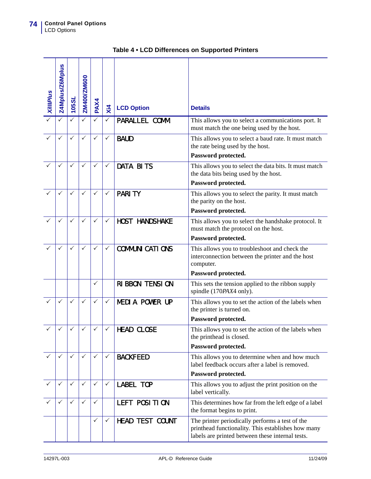| <b>XillIPlus</b> | <b>Z4Mplus/Z6Mplus</b> | 105SL        | ZM400/ZM600  | PAX4         | $X$ <sub>14</sub> | <b>LCD Option</b>       | <b>Details</b>                                                                                                                                            |
|------------------|------------------------|--------------|--------------|--------------|-------------------|-------------------------|-----------------------------------------------------------------------------------------------------------------------------------------------------------|
|                  |                        | ✓            | ✓            | ✓            | ✓                 | PARALLEL COMM.          | This allows you to select a communications port. It<br>must match the one being used by the host.                                                         |
|                  | $\checkmark$           | $\checkmark$ | $\checkmark$ | $\checkmark$ | ✓                 | <b>BAUD</b>             | This allows you to select a baud rate. It must match<br>the rate being used by the host.                                                                  |
|                  |                        |              |              |              |                   |                         | Password protected.                                                                                                                                       |
|                  |                        | ✓            | ✓            | $\checkmark$ | ✓                 | <b>DATA BITS</b>        | This allows you to select the data bits. It must match<br>the data bits being used by the host.                                                           |
|                  |                        |              |              |              |                   |                         | Password protected.                                                                                                                                       |
|                  | $\checkmark$           | ✓            | ✓            | ✓            | ✓                 | <b>PARITY</b>           | This allows you to select the parity. It must match<br>the parity on the host.                                                                            |
|                  |                        |              |              |              |                   |                         | Password protected.                                                                                                                                       |
|                  | ✓                      | ✓            | $\checkmark$ | ✓            | ✓                 | <b>HOST HANDSHAKE</b>   | This allows you to select the handshake protocol. It<br>must match the protocol on the host.                                                              |
|                  |                        |              |              |              |                   |                         | Password protected.                                                                                                                                       |
|                  | $\checkmark$           | $\checkmark$ | ✓            | $\checkmark$ | $\checkmark$      | <b>COMMUNI CATI ONS</b> | This allows you to troubleshoot and check the<br>interconnection between the printer and the host<br>computer.                                            |
|                  |                        |              |              |              |                   |                         | Password protected.                                                                                                                                       |
|                  |                        |              |              | ✓            |                   | <b>RIBBON TENSION</b>   | This sets the tension applied to the ribbon supply<br>spindle (170PAX4 only).                                                                             |
|                  | $\checkmark$           | $\checkmark$ | $\checkmark$ | $\checkmark$ | ✓                 | <b>MEDIA POWER UP</b>   | This allows you to set the action of the labels when<br>the printer is turned on.                                                                         |
|                  |                        |              |              |              |                   |                         | Password protected.                                                                                                                                       |
|                  |                        |              |              |              |                   | <b>HEAD CLOSE</b>       | This allows you to set the action of the labels when<br>the printhead is closed.<br>Password protected.                                                   |
|                  |                        |              |              |              |                   |                         |                                                                                                                                                           |
|                  | $\checkmark$           | ✓            | ✓            | ✓            | ✓                 | <b>BACKFEED</b>         | This allows you to determine when and how much<br>label feedback occurs after a label is removed.                                                         |
|                  |                        |              |              |              |                   |                         | Password protected.                                                                                                                                       |
|                  | $\checkmark$           | $\checkmark$ | $\checkmark$ | $\checkmark$ | $\checkmark$      | <b>LABEL TOP</b>        | This allows you to adjust the print position on the<br>label vertically.                                                                                  |
|                  | $\checkmark$           | $\checkmark$ | $\checkmark$ | $\checkmark$ |                   | LEFT POSITION           | This determines how far from the left edge of a label<br>the format begins to print.                                                                      |
|                  |                        |              |              | ✓            | ✓                 | <b>HEAD TEST COUNT</b>  | The printer periodically performs a test of the<br>printhead functionality. This establishes how many<br>labels are printed between these internal tests. |

## **Table 4 • LCD Differences on Supported Printers**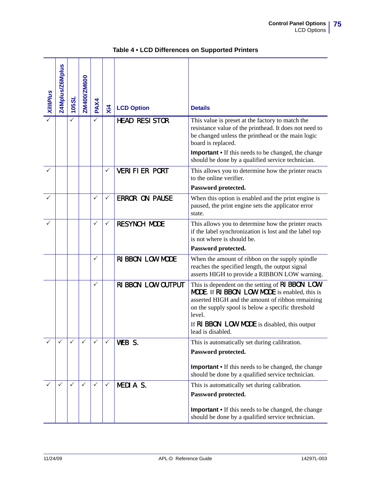| <b>Xill Plus</b> | Z4Mplus/Z6Mplus | 105SL | ZM400/ZM600 | PAX4         | $\overline{x}$ | <b>LCD Option</b>     | <b>Details</b>                                                                                                                                                                                                                                                                                  |
|------------------|-----------------|-------|-------------|--------------|----------------|-----------------------|-------------------------------------------------------------------------------------------------------------------------------------------------------------------------------------------------------------------------------------------------------------------------------------------------|
|                  |                 | ✓     |             | $\checkmark$ |                | <b>HEAD RESISTOR</b>  | This value is preset at the factory to match the<br>resistance value of the printhead. It does not need to<br>be changed unless the printhead or the main logic<br>board is replaced.<br><b>Important</b> • If this needs to be changed, the change                                             |
|                  |                 |       |             |              | ✓              | <b>VERIFIER PORT</b>  | should be done by a qualified service technician.<br>This allows you to determine how the printer reacts<br>to the online verifier.<br>Password protected.                                                                                                                                      |
|                  |                 |       |             | ✓            | ✓              | <b>ERROR ON PAUSE</b> | When this option is enabled and the print engine is<br>paused, the print engine sets the applicator error<br>state.                                                                                                                                                                             |
|                  |                 |       |             | $\checkmark$ | ✓              | <b>RESYNCH MODE</b>   | This allows you to determine how the printer reacts<br>if the label synchronization is lost and the label top<br>is not where is should be.<br>Password protected.                                                                                                                              |
|                  |                 |       |             | $\checkmark$ |                | RIBBON LOW MODE       | When the amount of ribbon on the supply spindle<br>reaches the specified length, the output signal<br>asserts HIGH to provide a RIBBON LOW warning.                                                                                                                                             |
|                  |                 |       |             | ✓            |                | RIBBON LOW OUTPUT     | This is dependent on the setting of RI BBON LOW<br><b>MODE.</b> If RI BBON LOW MODE is enabled, this is<br>asserted HIGH and the amount of ribbon remaining<br>on the supply spool is below a specific threshold<br>level.<br>If RI BBON LOW MODE is disabled, this output<br>lead is disabled. |
|                  | ✓               | ✓     | ✓           | $\checkmark$ | $\checkmark$   | WEB S.                | This is automatically set during calibration.<br>Password protected.<br><b>Important</b> • If this needs to be changed, the change<br>should be done by a qualified service technician.                                                                                                         |
|                  | $\checkmark$    | ✓     | ✓           | ✓            | $\checkmark$   | MEDIA S.              | This is automatically set during calibration.<br>Password protected.<br><b>Important</b> • If this needs to be changed, the change<br>should be done by a qualified service technician.                                                                                                         |

### **Table 4 • LCD Differences on Supported Printers**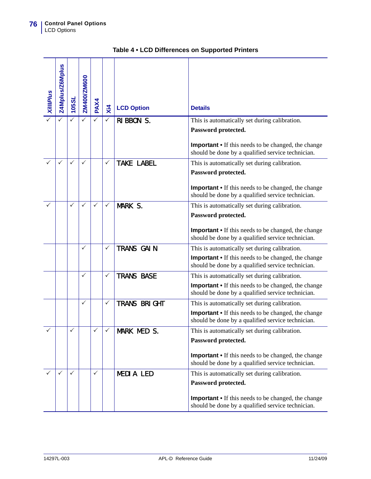| <b>XillIPlus</b> | <b>Z4Mplus/Z6Mplus</b> | 105SL        | ZM400/ZM600  | PAX4         | $\overline{x}$ | <b>LCD Option</b>   | <b>Details</b>                                                                                                  |
|------------------|------------------------|--------------|--------------|--------------|----------------|---------------------|-----------------------------------------------------------------------------------------------------------------|
|                  |                        |              | ✓            | $\checkmark$ | ✓              | RIBBON S.           | This is automatically set during calibration.<br>Password protected.                                            |
|                  |                        |              |              |              |                |                     |                                                                                                                 |
|                  |                        |              |              |              |                |                     | <b>Important</b> • If this needs to be changed, the change<br>should be done by a qualified service technician. |
|                  | $\checkmark$           | $\checkmark$ | $\checkmark$ |              | ✓              | <b>TAKE LABEL</b>   | This is automatically set during calibration.                                                                   |
|                  |                        |              |              |              |                |                     | Password protected.                                                                                             |
|                  |                        |              |              |              |                |                     | <b>Important</b> • If this needs to be changed, the change<br>should be done by a qualified service technician. |
|                  |                        | $\checkmark$ | ✓            | $\checkmark$ | $\checkmark$   | MARK S.             | This is automatically set during calibration.                                                                   |
|                  |                        |              |              |              |                |                     | Password protected.                                                                                             |
|                  |                        |              |              |              |                |                     | <b>Important •</b> If this needs to be changed, the change<br>should be done by a qualified service technician. |
|                  |                        |              | $\checkmark$ |              | ✓              | TRANS GAIN          | This is automatically set during calibration.                                                                   |
|                  |                        |              |              |              |                |                     | <b>Important •</b> If this needs to be changed, the change<br>should be done by a qualified service technician. |
|                  |                        |              | ✓            |              | ✓              | <b>TRANS BASE</b>   | This is automatically set during calibration.                                                                   |
|                  |                        |              |              |              |                |                     | <b>Important •</b> If this needs to be changed, the change<br>should be done by a qualified service technician. |
|                  |                        |              | ✓            |              | ✓              | <b>TRANS BRIGHT</b> | This is automatically set during calibration.                                                                   |
|                  |                        |              |              |              |                |                     | <b>Important •</b> If this needs to be changed, the change<br>should be done by a qualified service technician. |
|                  |                        |              |              | ✓            |                | MARK MED S.         | This is automatically set during calibration.                                                                   |
|                  |                        |              |              |              |                |                     | Password protected.                                                                                             |
|                  |                        |              |              |              |                |                     | <b>Important •</b> If this needs to be changed, the change<br>should be done by a qualified service technician. |
|                  | ✓                      | ✓            |              | $\checkmark$ |                | <b>MEDIA LED</b>    | This is automatically set during calibration.                                                                   |
|                  |                        |              |              |              |                |                     | Password protected.                                                                                             |
|                  |                        |              |              |              |                |                     | <b>Important</b> • If this needs to be changed, the change<br>should be done by a qualified service technician. |

|  |  | Table 4 . LCD Differences on Supported Printers |  |
|--|--|-------------------------------------------------|--|
|--|--|-------------------------------------------------|--|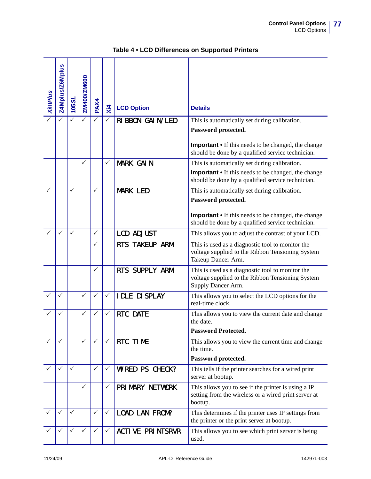| <b>Xill Plus</b> | Z4Mplus/Z6Mplus | 105SL        | ZM400/ZM600  | PAX4         | $\overline{x}$ | <b>LCD Option</b>       | <b>Details</b>                                                                                                             |
|------------------|-----------------|--------------|--------------|--------------|----------------|-------------------------|----------------------------------------------------------------------------------------------------------------------------|
|                  |                 | ✓            | ✓            |              | ✓              | RIBBON GAIN/LED         | This is automatically set during calibration.                                                                              |
|                  |                 |              |              |              |                |                         | Password protected.                                                                                                        |
|                  |                 |              |              |              |                |                         | <b>Important</b> • If this needs to be changed, the change<br>should be done by a qualified service technician.            |
|                  |                 |              | $\checkmark$ |              | $\checkmark$   | <b>MARK GAIN</b>        | This is automatically set during calibration.                                                                              |
|                  |                 |              |              |              |                |                         | <b>Important •</b> If this needs to be changed, the change<br>should be done by a qualified service technician.            |
|                  |                 | ✓            |              | ✓            |                | <b>MARK LED</b>         | This is automatically set during calibration.                                                                              |
|                  |                 |              |              |              |                |                         | Password protected.                                                                                                        |
|                  |                 |              |              |              |                |                         |                                                                                                                            |
|                  |                 |              |              |              |                |                         | <b>Important</b> • If this needs to be changed, the change<br>should be done by a qualified service technician.            |
|                  | ✓               | $\checkmark$ |              | ✓            |                | <b>LCD ADJUST</b>       | This allows you to adjust the contrast of your LCD.                                                                        |
|                  |                 |              |              | ✓            |                | RTS TAKEUP ARM          | This is used as a diagnostic tool to monitor the<br>voltage supplied to the Ribbon Tensioning System<br>Takeup Dancer Arm. |
|                  |                 |              |              | ✓            |                | RTS SUPPLY ARM          | This is used as a diagnostic tool to monitor the<br>voltage supplied to the Ribbon Tensioning System<br>Supply Dancer Arm. |
|                  | ✓               |              | ✓            | ✓            | ✓              | <b>IDLE DI SPLAY</b>    | This allows you to select the LCD options for the<br>real-time clock.                                                      |
|                  |                 |              | ✓            | ✓            | ✓              | <b>RTC DATE</b>         | This allows you to view the current date and change<br>the date.                                                           |
|                  |                 |              |              |              |                |                         | <b>Password Protected.</b>                                                                                                 |
|                  | ✓               |              | $\checkmark$ | $\checkmark$ | $\checkmark$   | RTC TIME                | This allows you to view the current time and change<br>the time.                                                           |
|                  |                 |              |              |              |                |                         | Password protected.                                                                                                        |
|                  | ✓               | $\checkmark$ |              | ✓            | ✓              | WIRED PS CHECK?         | This tells if the printer searches for a wired print<br>server at bootup.                                                  |
|                  |                 |              | ✓            |              | ✓              | PRIMARY NETWORK         | This allows you to see if the printer is using a IP<br>setting from the wireless or a wired print server at<br>bootup.     |
|                  | ✓               | $\checkmark$ |              | $\checkmark$ | $\checkmark$   | LOAD LAN FROM?          | This determines if the printer uses IP settings from<br>the printer or the print server at bootup.                         |
|                  |                 | $\checkmark$ | $\checkmark$ | ✓            | $\checkmark$   | <b>ACTIVE PRINTSRVR</b> | This allows you to see which print server is being<br>used.                                                                |

## **Table 4 • LCD Differences on Supported Printers**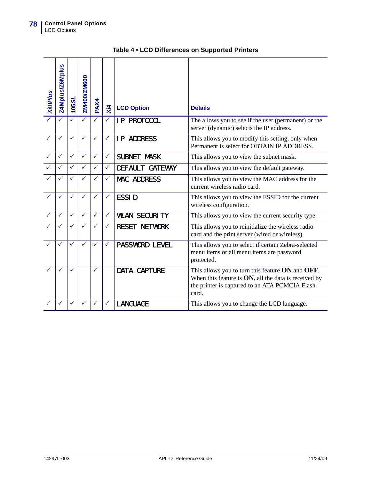| <b>Xill Plus</b> | Z4Mplus/Z6Mplus | 105SL        | ZM400/ZM600  | PAX4         | $X_{14}$     | <b>LCD Option</b>      | <b>Details</b>                                                                                                                                                         |
|------------------|-----------------|--------------|--------------|--------------|--------------|------------------------|------------------------------------------------------------------------------------------------------------------------------------------------------------------------|
|                  |                 | ✓            | ✓            | ✓            | ✓            | <b>IP PROTOCOL</b>     | The allows you to see if the user (permanent) or the<br>server (dynamic) selects the IP address.                                                                       |
|                  | $\checkmark$    | $\checkmark$ | $\checkmark$ | $\checkmark$ | ✓            | <b>IP ADDRESS</b>      | This allows you to modify this setting, only when<br>Permanent is select for OBTAIN IP ADDRESS.                                                                        |
|                  | $\checkmark$    | $\checkmark$ | ✓            | $\checkmark$ | $\checkmark$ | <b>SUBNET MASK</b>     | This allows you to view the subnet mask.                                                                                                                               |
|                  | ✓               | $\checkmark$ | ✓            | ✓            | $\checkmark$ | <b>DEFAULT GATEWAY</b> | This allows you to view the default gateway.                                                                                                                           |
|                  | $\checkmark$    | ✓            | $\checkmark$ | ✓            | ✓            | <b>MAC ADDRESS</b>     | This allows you to view the MAC address for the<br>current wireless radio card.                                                                                        |
| ✓                | $\checkmark$    | $\checkmark$ | $\checkmark$ | $\checkmark$ | $\checkmark$ | <b>ESSID</b>           | This allows you to view the ESSID for the current<br>wireless configuration.                                                                                           |
|                  | $\checkmark$    | $\checkmark$ | $\checkmark$ | ✓            | $\checkmark$ | <b>WLAN SECURITY</b>   | This allows you to view the current security type.                                                                                                                     |
|                  | $\checkmark$    | ✓            | $\checkmark$ | ✓            | ✓            | <b>RESET NETWORK</b>   | This allows you to reinitialize the wireless radio<br>card and the print server (wired or wireless).                                                                   |
|                  | $\checkmark$    | $\checkmark$ | $\checkmark$ | $\checkmark$ | $\checkmark$ | <b>PASSWORD LEVEL</b>  | This allows you to select if certain Zebra-selected<br>menu items or all menu items are password<br>protected.                                                         |
|                  | $\checkmark$    | $\checkmark$ |              | ✓            |              | <b>DATA CAPTURE</b>    | This allows you to turn this feature ON and OFF.<br>When this feature is $ON$ , all the data is received by<br>the printer is captured to an ATA PCMCIA Flash<br>card. |
|                  | $\checkmark$    | ✓            | ✓            | ✓            | $\checkmark$ | <b>LANGUAGE</b>        | This allows you to change the LCD language.                                                                                                                            |

| Table 4 . LCD Differences on Supported Printers |  |  |
|-------------------------------------------------|--|--|
|-------------------------------------------------|--|--|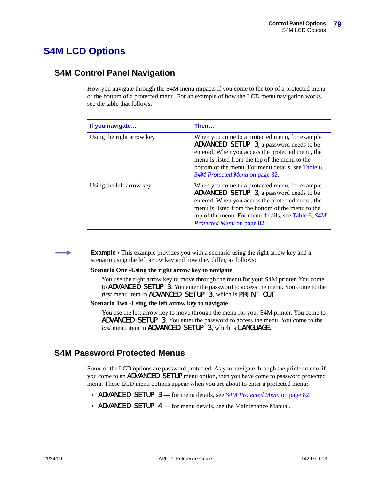# **S4M LCD Options**

## <span id="page-78-0"></span>**S4M Control Panel Navigation**

<span id="page-78-2"></span>How you navigate through the S4M menu impacts if you come to the top of a protected menu or the bottom of a protected menu. For an example of how the LCD menu navigation works, see the table that follows:

| If you navigate           | Then…                                                                                                                                                                                                                                                                                           |
|---------------------------|-------------------------------------------------------------------------------------------------------------------------------------------------------------------------------------------------------------------------------------------------------------------------------------------------|
| Using the right arrow key | When you come to a protected menu, for example<br><b>ADVANCED SETUP 3, a password needs to be</b><br>entered. When you access the protected menu, the<br>menu is listed from the top of the menu to the<br>bottom of the menu. For menu details, see Table 6,<br>S4M Protected Menu on page 82. |
| Using the left arrow key  | When you come to a protected menu, for example<br><b>ADVANCED SETUP 3, a password needs to be</b><br>entered. When you access the protected menu, the<br>menu is listed from the bottom of the menu to the<br>top of the menu. For menu details, see Table 6, S4M<br>Protected Menu on page 82. |

**Example •** This example provides you with a scenario using the right arrow key and a scenario using the left arrow key and how they differ, as follows:

#### **Scenario One -Using the right arrow key to navigate**

You use the right arrow key to move through the menu for your S4M printer. You come to ADVANCED SETUP 3. You enter the password to access the menu. You come to the *first* menu item in ADVANCED SETUP 3, which is PRINT OUT.

**Scenario Two -Using the left arrow key to navigate**

<span id="page-78-3"></span>You use the left arrow key to move through the menu for your S4M printer. You come to ADVANCED SETUP 3. You enter the password to access the menu. You come to the *last* menu item in ADVANCED SETUP 3, which is LANGUAGE.

## <span id="page-78-1"></span>**S4M Password Protected Menus**

Some of the LCD options are password protected. As you navigate through the printer menu, if you come to an ADVANCED SETUP menu option, then you have come to password protected menu. These LCD menu options appear when you are about to enter a protected menu:

- **ADVANCED SETUP** 3 for menu details, see *[S4M Protected Menu](#page-81-0)* on page 82.
- ADVANCED SETUP 4 for menu details, see the Maintenance Manual.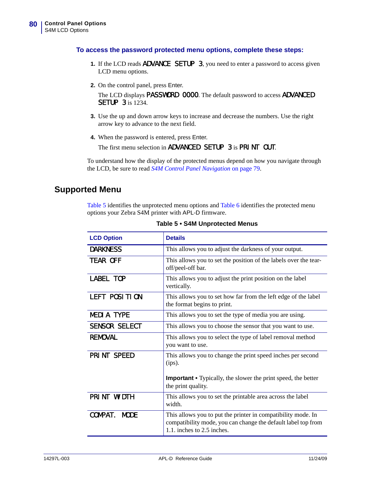#### **To access the password protected menu options, complete these steps:**

- **1.** If the LCD reads **ADVANCE** SETUP 3, you need to enter a password to access given LCD menu options.
- **2.** On the control panel, press Enter.

The LCD displays PASSWORD 0000. The default password to access ADVANCED SETUP 3 is 1234.

- **3.** Use the up and down arrow keys to increase and decrease the numbers. Use the right arrow key to advance to the next field.
- **4.** When the password is entered, press Enter.

The first menu selection in ADVANCED SETUP 3 is PRINT OUT.

To understand how the display of the protected menus depend on how you navigate through the LCD, be sure to read *[S4M Control Panel Navigation](#page-78-0)* on page 79.

## **Supported Menu**

[Table 5](#page-79-0) identifies the unprotected menu options and [Table 6](#page-81-0) identifies the protected menu options your Zebra S4M printer with APL-D firmware.

<span id="page-79-0"></span>

| <b>LCD Option</b>    | <b>Details</b>                                                                                                                                              |
|----------------------|-------------------------------------------------------------------------------------------------------------------------------------------------------------|
| <b>DARKNESS</b>      | This allows you to adjust the darkness of your output.                                                                                                      |
| <b>TEAR OFF</b>      | This allows you to set the position of the labels over the tear-<br>off/peel-off bar.                                                                       |
| <b>LABEL TOP</b>     | This allows you to adjust the print position on the label<br>vertically.                                                                                    |
| LEFT POSITION        | This allows you to set how far from the left edge of the label<br>the format begins to print.                                                               |
| <b>MEDIA TYPE</b>    | This allows you to set the type of media you are using.                                                                                                     |
| <b>SENSOR SELECT</b> | This allows you to choose the sensor that you want to use.                                                                                                  |
| <b>REMOVAL</b>       | This allows you to select the type of label removal method<br>you want to use.                                                                              |
| PRINT SPEED          | This allows you to change the print speed inches per second<br>(ips).<br><b>Important •</b> Typically, the slower the print speed, the better               |
|                      | the print quality.                                                                                                                                          |
| PRINT WIDTH          | This allows you to set the printable area across the label<br>width.                                                                                        |
| COMPAT. MODE         | This allows you to put the printer in compatibility mode. In<br>compatibility mode, you can change the default label top from<br>1.1. inches to 2.5 inches. |

**Table 5 • S4M Unprotected Menus**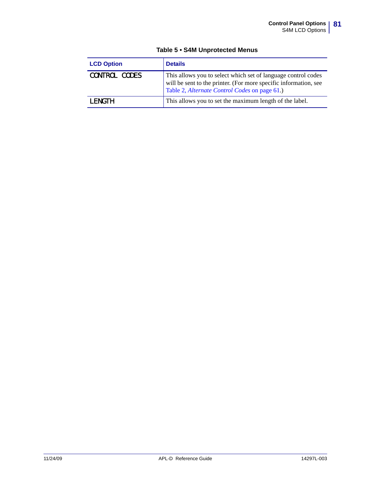| <b>LCD Option</b>    | <b>Details</b>                                                                                                                                                                     |
|----------------------|------------------------------------------------------------------------------------------------------------------------------------------------------------------------------------|
| <b>CONTROL CODES</b> | This allows you to select which set of language control codes<br>will be sent to the printer. (For more specific information, see<br>Table 2, Alternate Control Codes on page 61.) |
| I FNGTH.             | This allows you to set the maximum length of the label.                                                                                                                            |

#### **Table 5 • S4M Unprotected Menus**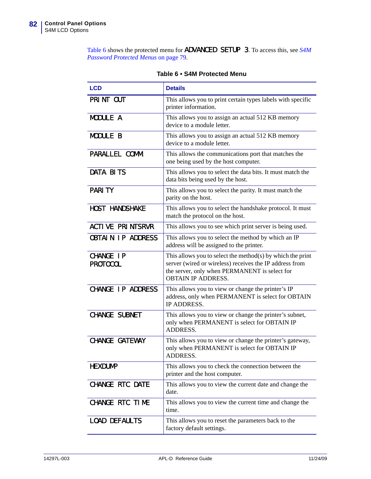[Table 6](#page-81-0) shows the protected menu for ADVANCED SETUP 3. To access this, see *[S4M](#page-78-1)  [Password Protected Menus](#page-78-1)* on page 79.

<span id="page-81-0"></span>

| <b>LCD</b>                          | <b>Details</b>                                                                                                                                                                                      |
|-------------------------------------|-----------------------------------------------------------------------------------------------------------------------------------------------------------------------------------------------------|
| PRINT OUT                           | This allows you to print certain types labels with specific<br>printer information.                                                                                                                 |
| MODULE A                            | This allows you to assign an actual 512 KB memory<br>device to a module letter.                                                                                                                     |
| <b>MODULE B</b>                     | This allows you to assign an actual 512 KB memory<br>device to a module letter.                                                                                                                     |
| PARALLEL COMM.                      | This allows the communications port that matches the<br>one being used by the host computer.                                                                                                        |
| <b>DATA BITS</b>                    | This allows you to select the data bits. It must match the<br>data bits being used by the host.                                                                                                     |
| <b>PARITY</b>                       | This allows you to select the parity. It must match the<br>parity on the host.                                                                                                                      |
| <b>HOST HANDSHAKE</b>               | This allows you to select the handshake protocol. It must<br>match the protocol on the host.                                                                                                        |
| <b>ACTIVE PRINTSRVR</b>             | This allows you to see which print server is being used.                                                                                                                                            |
| <b>OBTAIN IP ADDRESS</b>            | This allows you to select the method by which an IP<br>address will be assigned to the printer.                                                                                                     |
| <b>CHANGE IP</b><br><b>PROTOCOL</b> | This allows you to select the method(s) by which the print<br>server (wired or wireless) receives the IP address from<br>the server, only when PERMANENT is select for<br><b>OBTAIN IP ADDRESS.</b> |
| <b>CHANGE IP ADDRESS</b>            | This allows you to view or change the printer's IP<br>address, only when PERMANENT is select for OBTAIN<br>IP ADDRESS.                                                                              |
| <b>CHANGE SUBNET</b>                | This allows you to view or change the printer's subnet,<br>only when PERMANENT is select for OBTAIN IP<br>ADDRESS.                                                                                  |
| CHANGE GATEWAY                      | This allows you to view or change the printer's gateway,<br>only when PERMANENT is select for OBTAIN IP<br>ADDRESS.                                                                                 |
| <b>HEXDUMP</b>                      | This allows you to check the connection between the<br>printer and the host computer.                                                                                                               |
| <b>CHANGE RTC DATE</b>              | This allows you to view the current date and change the<br>date.                                                                                                                                    |
| CHANGE RTC TIME                     | This allows you to view the current time and change the<br>time.                                                                                                                                    |
| <b>LOAD DEFAULTS</b>                | This allows you to reset the parameters back to the<br>factory default settings.                                                                                                                    |

**Table 6 • S4M Protected Menu**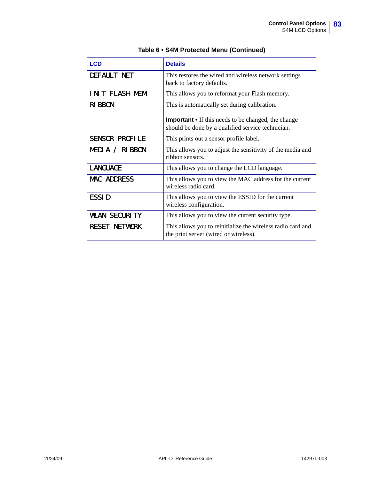| <b>LCD</b>            | <b>Details</b>                                                                                                  |  |  |  |  |
|-----------------------|-----------------------------------------------------------------------------------------------------------------|--|--|--|--|
| DEFAULT NET           | This restores the wired and wireless network settings<br>back to factory defaults.                              |  |  |  |  |
| INIT FLASH MEM        | This allows you to reformat your Flash memory.                                                                  |  |  |  |  |
| <b>RIBBON</b>         | This is automatically set during calibration.                                                                   |  |  |  |  |
|                       | <b>Important</b> • If this needs to be changed, the change<br>should be done by a qualified service technician. |  |  |  |  |
| <b>SENSOR PROFILE</b> | This prints out a sensor profile label.                                                                         |  |  |  |  |
| MEDIA / RIBBON        | This allows you to adjust the sensitivity of the media and<br>ribbon sensors.                                   |  |  |  |  |
| <b>LANGUAGE</b>       | This allows you to change the LCD language.                                                                     |  |  |  |  |
| <b>MAC ADDRESS</b>    | This allows you to view the MAC address for the current<br>wireless radio card.                                 |  |  |  |  |
| <b>ESSID</b>          | This allows you to view the ESSID for the current<br>wireless configuration.                                    |  |  |  |  |
| <b>WLAN SECURITY</b>  | This allows you to view the current security type.                                                              |  |  |  |  |
| <b>RESET NETWORK</b>  | This allows you to reinitialize the wireless radio card and<br>the print server (wired or wireless).            |  |  |  |  |

### **Table 6 • S4M Protected Menu (Continued)**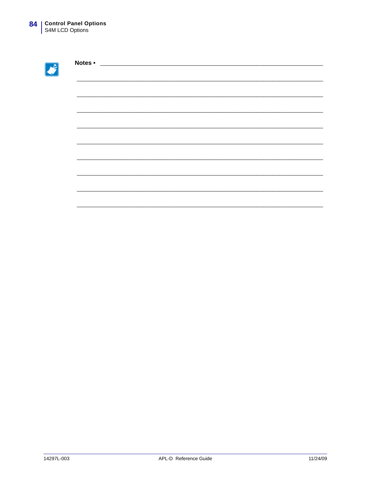B

| Notes • | <u> 1980 - Johann Barn, mars ann an t-Amhain Aonaich an t-Aonaich an t-Aonaich an t-Aonaich an t-Aonaich an t-Aon</u> |  |  |
|---------|-----------------------------------------------------------------------------------------------------------------------|--|--|
|         |                                                                                                                       |  |  |
|         |                                                                                                                       |  |  |
|         |                                                                                                                       |  |  |
|         |                                                                                                                       |  |  |
|         |                                                                                                                       |  |  |
|         |                                                                                                                       |  |  |
|         |                                                                                                                       |  |  |
|         |                                                                                                                       |  |  |
|         |                                                                                                                       |  |  |
|         |                                                                                                                       |  |  |
|         |                                                                                                                       |  |  |
|         |                                                                                                                       |  |  |
|         |                                                                                                                       |  |  |
|         |                                                                                                                       |  |  |
|         |                                                                                                                       |  |  |
|         |                                                                                                                       |  |  |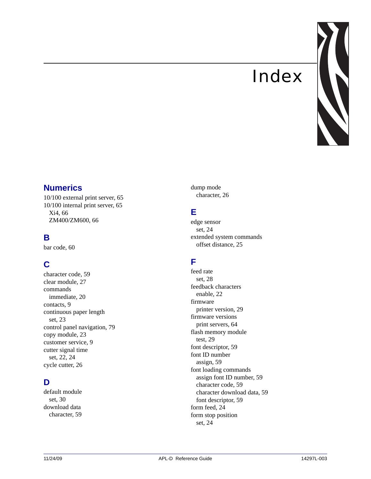# Index



## <span id="page-84-0"></span>**Numerics**

[10/100 external print server, 65](#page-64-0) [10/100 internal print server, 65](#page-64-0) [Xi4, 66](#page-65-0) [ZM400/ZM600, 66](#page-65-0)

## **B**

[bar code, 60](#page-59-0)

# **C**

[character code, 59](#page-58-0) [clear module, 27](#page-26-0) commands [immediate, 20](#page-19-0) [contacts, 9](#page-8-0) continuous paper length [set, 23](#page-22-0) [control panel navigation, 79](#page-78-2) [copy module, 23](#page-22-1) [customer service, 9](#page-8-0) cutter signal time [set, 22,](#page-21-0) [24](#page-23-0) [cycle cutter, 26](#page-25-0)

# **D**

default module [set, 30](#page-29-0) download data [character, 59](#page-58-1)

dump mode [character, 26](#page-25-1)

# **E**

edge sensor [set, 24](#page-23-1) extended system commands [offset distance, 25](#page-24-0)

# **F**

feed rate [set, 28](#page-27-0) feedback characters [enable, 22](#page-21-1) firmware [printer version, 29](#page-28-0) firmware versions [print servers, 64](#page-63-0) flash memory module [test, 29](#page-28-1) [font descriptor, 59](#page-58-2) font ID number [assign, 59](#page-58-3) font loading commands [assign font ID number, 59](#page-58-3) [character code, 59](#page-58-0) [character download data, 59](#page-58-1) [font descriptor, 59](#page-58-2) [form feed, 24](#page-23-2) form stop position [set, 24](#page-23-3)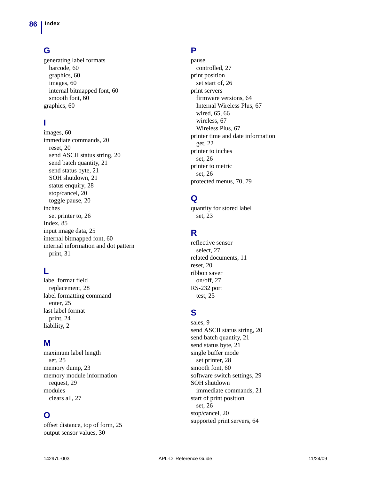## **G**

generating label formats [barcode, 60](#page-59-0) [graphics, 60](#page-59-1) [images, 60](#page-59-2) [internal bitmapped font, 60](#page-59-3) [smooth font, 60](#page-59-4) [graphics, 60](#page-59-1)

# **I**

[images, 60](#page-59-2) [immediate commands, 20](#page-19-0) [reset, 20](#page-19-1) [send ASCII status string, 20](#page-19-2) [send batch quantity, 21](#page-20-0) [send status byte, 21](#page-20-1) [SOH shutdown, 21](#page-20-2) [status enquiry, 28](#page-27-1) [stop/cancel, 20](#page-19-3) [toggle pause, 20](#page-19-4) inches [set printer to, 26](#page-25-2) [Index, 85](#page-84-0) [input image data, 25](#page-24-1) [internal bitmapped font, 60](#page-59-3) internal information and dot pattern [print, 31](#page-30-0)

## **L**

label format field [replacement, 28](#page-27-2) label formatting command [enter, 25](#page-24-2) last label format [print, 24](#page-23-4) [liability, 2](#page-1-0)

## **M**

maximum label length [set, 25](#page-24-3) [memory dump, 23](#page-22-2) memory module information [request, 29](#page-28-2) modules [clears all, 27](#page-26-1)

## **O**

[offset distance, top of form, 25](#page-24-0) [output sensor values, 30](#page-29-1)

## **P**

pause [controlled, 27](#page-26-2) print position [set start of, 26](#page-25-3) print servers [firmware versions, 64](#page-63-0) [Internal Wireless Plus, 67](#page-66-0) [wired, 65,](#page-64-0) [66](#page-65-0) [wireless, 67](#page-66-0) [Wireless Plus, 67](#page-66-0) printer time and date information [get, 22](#page-21-2) printer to inches [set, 26](#page-25-2) printer to metric [set, 26](#page-25-4) [protected menus, 70,](#page-69-0) [79](#page-78-3)

# **Q**

quantity for stored label [set, 23](#page-22-3)

# **R**

reflective sensor [select, 27](#page-26-3) [related documents, 11](#page-10-0) [reset, 20](#page-19-1) ribbon saver [on/off, 27](#page-26-4) RS-232 port [test, 25](#page-24-4)

# **S**

[sales, 9](#page-8-0) [send ASCII status string, 20](#page-19-2) [send batch quantity, 21](#page-20-0) [send status byte, 21](#page-20-1) single buffer mode [set printer, 28](#page-27-3) [smooth font, 60](#page-59-4) [software switch settings, 29](#page-28-3) SOH shutdown [immediate commands, 21](#page-20-2) start of print position [set, 26](#page-25-3) [stop/cancel, 20](#page-19-3) [supported print servers, 64](#page-63-0)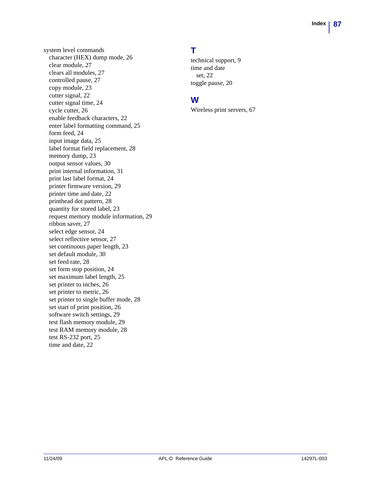system level commands [character \(HEX\) dump mode, 26](#page-25-1) [clear module, 27](#page-26-0) [clears all modules, 27](#page-26-1) [controlled pause, 27](#page-26-2) [copy module, 23](#page-22-1) [cutter signal, 22](#page-21-0) [cutter signal time, 24](#page-23-0) [cycle cutter, 26](#page-25-0) [enable feedback characters, 22](#page-21-1) [enter label formatting command, 25](#page-24-2) [form feed, 24](#page-23-2) [input image data, 25](#page-24-1) [label format field replacement, 28](#page-27-2) [memory dump, 23](#page-22-2) [output sensor values, 30](#page-29-1) [print internal information, 31](#page-30-0) [print last label format, 24](#page-23-4) [printer firmware version, 29](#page-28-0) [printer time and date, 22](#page-21-2) [printhead dot pattern, 28](#page-27-4) [quantity for stored label, 23](#page-22-3) [request memory module information, 29](#page-28-2) [ribbon saver, 27](#page-26-4) [select edge sensor, 24](#page-23-1) [select reflective sensor, 27](#page-26-3) [set continuous paper length, 23](#page-22-0) [set default module, 30](#page-29-0) [set feed rate, 28](#page-27-0) [set form stop position, 24](#page-23-3) [set maximum label length, 25](#page-24-3) [set printer to inches, 26](#page-25-2) [set printer to metric, 26](#page-25-4) [set printer to single buffer mode, 28](#page-27-3) [set start of print position, 26](#page-25-3) [software switch settings, 29](#page-28-3) [test flash memory module, 29](#page-28-1) [test RAM memory module, 28](#page-27-1) [test RS-232 port, 25](#page-24-4) [time and date, 22](#page-21-3)

# **T**

[technical support, 9](#page-8-0) time and date [set, 22](#page-21-3) [toggle pause, 20](#page-19-4)

# **W**

[Wireless print servers, 67](#page-66-0)